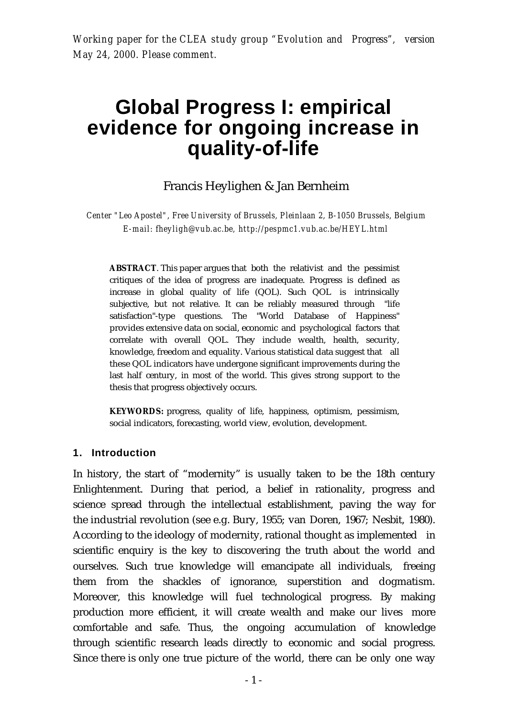# **Global Progress I: empirical evidence for ongoing increase in quality-of-life**

# Francis Heylighen & Jan Bernheim

*Center "Leo Apostel", Free University of Brussels, Pleinlaan 2, B-1050 Brussels, Belgium E-mail: fheyligh@vub.ac.be, http://pespmc1.vub.ac.be/HEYL.html*

**ABSTRACT**. This paper argues that both the relativist and the pessimist critiques of the idea of progress are inadequate. Progress is defined as increase in global quality of life (QOL). Such QOL is intrinsically subjective, but not relative. It can be reliably measured through "life satisfaction"-type questions. The "World Database of Happiness" provides extensive data on social, economic and psychological factors that correlate with overall QOL. They include wealth, health, security, knowledge, freedom and equality. Various statistical data suggest that all these QOL indicators have undergone significant improvements during the last half century, in most of the world. This gives strong support to the thesis that progress objectively occurs.

**KEYWORDS:** progress, quality of life, happiness, optimism, pessimism, social indicators, forecasting, world view, evolution, development.

# **1. Introduction**

In history, the start of "modernity" is usually taken to be the 18th century Enlightenment. During that period, a belief in rationality, progress and science spread through the intellectual establishment, paving the way for the industrial revolution (see e.g. Bury, 1955; van Doren, 1967; Nesbit, 1980). According to the ideology of modernity, rational thought as implemented in scientific enquiry is the key to discovering the truth about the world and ourselves. Such true knowledge will emancipate all individuals, freeing them from the shackles of ignorance, superstition and dogmatism. Moreover, this knowledge will fuel technological progress. By making production more efficient, it will create wealth and make our lives more comfortable and safe. Thus, the ongoing accumulation of knowledge through scientific research leads directly to economic and social progress. Since there is only one true picture of the world, there can be only one way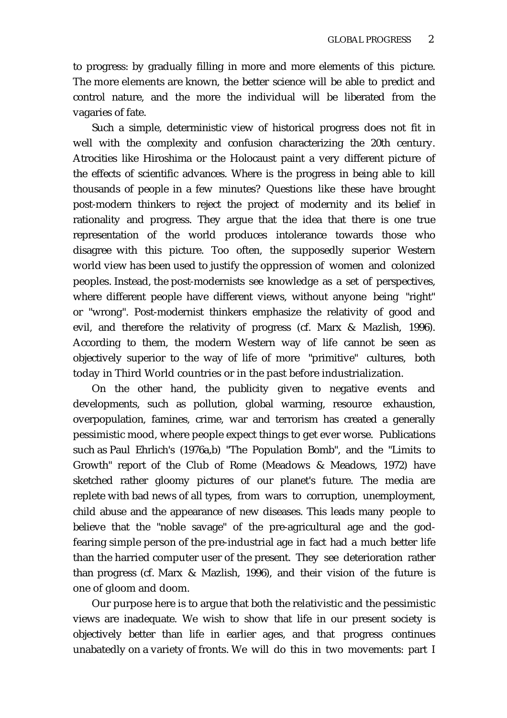to progress: by gradually filling in more and more elements of this picture. The more elements are known, the better science will be able to predict and control nature, and the more the individual will be liberated from the vagaries of fate.

Such a simple, deterministic view of historical progress does not fit in well with the complexity and confusion characterizing the 20th century. Atrocities like Hiroshima or the Holocaust paint a very different picture of the effects of scientific advances. Where is the progress in being able to kill thousands of people in a few minutes? Questions like these have brought post-modern thinkers to reject the project of modernity and its belief in rationality and progress. They argue that the idea that there is one true representation of the world produces intolerance towards those who disagree with this picture. Too often, the supposedly superior Western world view has been used to justify the oppression of women and colonized peoples. Instead, the post-modernists see knowledge as a set of perspectives, where different people have different views, without anyone being "right" or "wrong". Post-modernist thinkers emphasize the relativity of good and evil, and therefore the relativity of progress (cf. Marx & Mazlish, 1996). According to them, the modern Western way of life cannot be seen as objectively superior to the way of life of more "primitive" cultures, both today in Third World countries or in the past before industrialization.

On the other hand, the publicity given to negative events and developments, such as pollution, global warming, resource exhaustion, overpopulation, famines, crime, war and terrorism has created a generally pessimistic mood, where people expect things to get ever worse. Publications such as Paul Ehrlich's (1976a,b) "The Population Bomb", and the "Limits to Growth" report of the Club of Rome (Meadows & Meadows, 1972) have sketched rather gloomy pictures of our planet's future. The media are replete with bad news of all types, from wars to corruption, unemployment, child abuse and the appearance of new diseases. This leads many people to believe that the "noble savage" of the pre-agricultural age and the godfearing simple person of the pre-industrial age in fact had a much better life than the harried computer user of the present. They see deterioration rather than progress (cf. Marx & Mazlish, 1996), and their vision of the future is one of gloom and doom.

Our purpose here is to argue that both the relativistic and the pessimistic views are inadequate. We wish to show that life in our present society is objectively better than life in earlier ages, and that progress continues unabatedly on a variety of fronts. We will do this in two movements: part I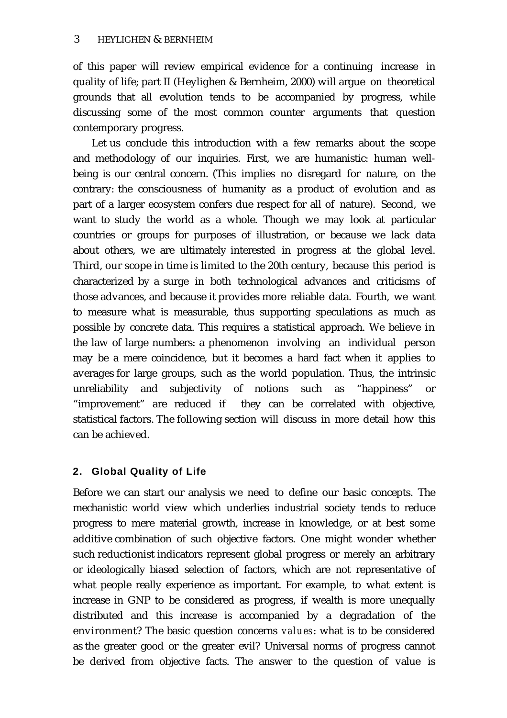of this paper will review empirical evidence for a continuing increase in quality of life; part II (Heylighen & Bernheim, 2000) will argue on theoretical grounds that all evolution tends to be accompanied by progress, while discussing some of the most common counter arguments that question contemporary progress.

Let us conclude this introduction with a few remarks about the scope and methodology of our inquiries. First, we are humanistic: human wellbeing is our central concern. (This implies no disregard for nature, on the contrary: the consciousness of humanity as a product of evolution and as part of a larger ecosystem confers due respect for all of nature). Second, we want to study the world as a whole. Though we may look at particular countries or groups for purposes of illustration, or because we lack data about others, we are ultimately interested in progress at the global level. Third, our scope in time is limited to the 20th century, because this period is characterized by a surge in both technological advances and criticisms of those advances, and because it provides more reliable data. Fourth, we want to measure what is measurable, thus supporting speculations as much as possible by concrete data. This requires a statistical approach. We believe in the law of large numbers: a phenomenon involving an individual person may be a mere coincidence, but it becomes a hard fact when it applies to averages for large groups, such as the world population. Thus, the intrinsic unreliability and subjectivity of notions such as "happiness" or "improvement" are reduced if they can be correlated with objective, statistical factors. The following section will discuss in more detail how this can be achieved.

#### **2. Global Quality of Life**

Before we can start our analysis we need to define our basic concepts. The mechanistic world view which underlies industrial society tends to reduce progress to mere material growth, increase in knowledge, or at best some additive combination of such objective factors. One might wonder whether such reductionist indicators represent global progress or merely an arbitrary or ideologically biased selection of factors, which are not representative of what people really experience as important. For example, to what extent is increase in GNP to be considered as progress, if wealth is more unequally distributed and this increase is accompanied by a degradation of the environment? The basic question concerns *values*: what is to be considered as the greater good or the greater evil? Universal norms of progress cannot be derived from objective facts. The answer to the question of value is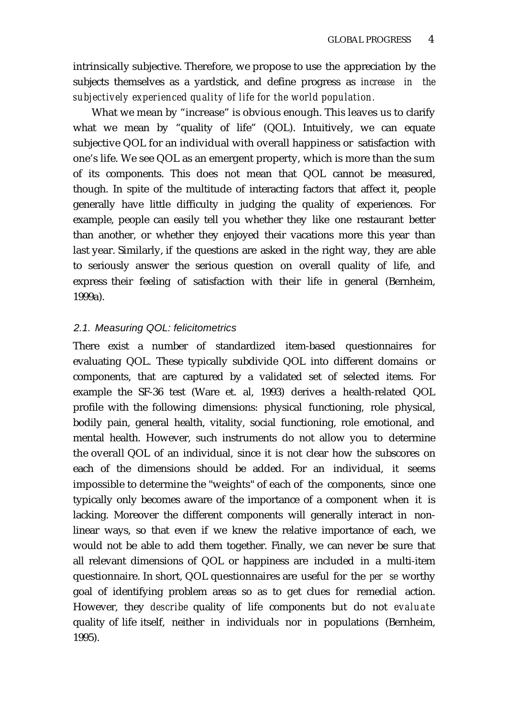intrinsically subjective. Therefore, we propose to use the appreciation by the subjects themselves as a yardstick, and define progress as *increase in the subjectively experienced quality of life for the world population.*

What we mean by "increase" is obvious enough. This leaves us to clarify what we mean by "quality of life" (QOL). Intuitively, we can equate subjective QOL for an individual with overall happiness or satisfaction with one's life. We see QOL as an emergent property, which is more than the sum of its components. This does not mean that QOL cannot be measured, though. In spite of the multitude of interacting factors that affect it, people generally have little difficulty in judging the quality of experiences. For example, people can easily tell you whether they like one restaurant better than another, or whether they enjoyed their vacations more this year than last year. Similarly, if the questions are asked in the right way, they are able to seriously answer the serious question on overall quality of life, and express their feeling of satisfaction with their life in general (Bernheim, 1999a).

#### *2.1. Measuring QOL: felicitometrics*

There exist a number of standardized item-based questionnaires for evaluating QOL. These typically subdivide QOL into different domains or components, that are captured by a validated set of selected items. For example the SF-36 test (Ware et. al, 1993) derives a health-related QOL profile with the following dimensions: physical functioning, role physical, bodily pain, general health, vitality, social functioning, role emotional, and mental health. However, such instruments do not allow you to determine the overall QOL of an individual, since it is not clear how the subscores on each of the dimensions should be added. For an individual, it seems impossible to determine the "weights" of each of the components, since one typically only becomes aware of the importance of a component when it is lacking. Moreover the different components will generally interact in nonlinear ways, so that even if we knew the relative importance of each, we would not be able to add them together. Finally, we can never be sure that all relevant dimensions of QOL or happiness are included in a multi-item questionnaire. In short, QOL questionnaires are useful for the *per se* worthy goal of identifying problem areas so as to get clues for remedial action. However, they *describe* quality of life components but do not *evaluate* quality of life itself, neither in individuals nor in populations (Bernheim, 1995).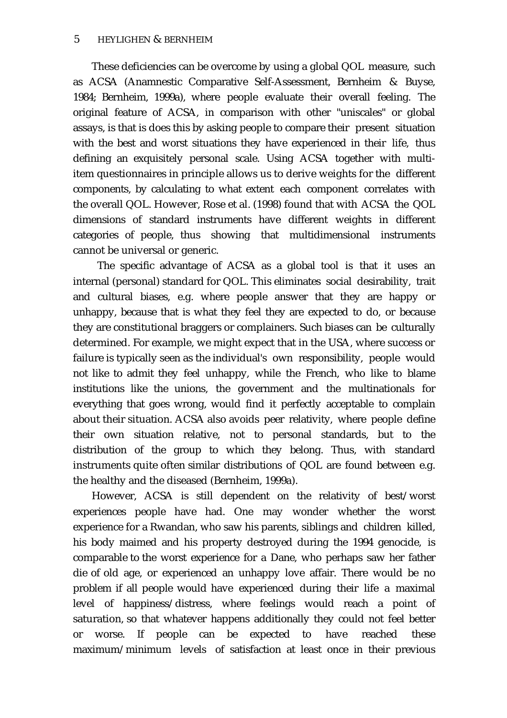These deficiencies can be overcome by using a global QOL measure, such as ACSA (Anamnestic Comparative Self-Assessment, Bernheim & Buyse, 1984; Bernheim, 1999a), where people evaluate their overall feeling. The original feature of ACSA, in comparison with other "uniscales" or global assays, is that is does this by asking people to compare their present situation with the best and worst situations they have experienced in their life, thus defining an exquisitely personal scale. Using ACSA together with multiitem questionnaires in principle allows us to derive weights for the different components, by calculating to what extent each component correlates with the overall QOL. However, Rose et al. (1998) found that with ACSA the QOL dimensions of standard instruments have different weights in different categories of people, thus showing that multidimensional instruments cannot be universal or generic.

 The specific advantage of ACSA as a global tool is that it uses an internal (personal) standard for QOL. This eliminates social desirability, trait and cultural biases, e.g. where people answer that they are happy or unhappy, because that is what they feel they are expected to do, or because they are constitutional braggers or complainers. Such biases can be culturally determined. For example, we might expect that in the USA, where success or failure is typically seen as the individual's own responsibility, people would not like to admit they feel unhappy, while the French, who like to blame institutions like the unions, the government and the multinationals for everything that goes wrong, would find it perfectly acceptable to complain about their situation. ACSA also avoids peer relativity, where people define their own situation relative, not to personal standards, but to the distribution of the group to which they belong. Thus, with standard instruments quite often similar distributions of QOL are found between e.g. the healthy and the diseased (Bernheim, 1999a).

However, ACSA is still dependent on the relativity of best/worst experiences people have had. One may wonder whether the worst experience for a Rwandan, who saw his parents, siblings and children killed, his body maimed and his property destroyed during the 1994 genocide, is comparable to the worst experience for a Dane, who perhaps saw her father die of old age, or experienced an unhappy love affair. There would be no problem if all people would have experienced during their life a maximal level of happiness/distress, where feelings would reach a point of saturation, so that whatever happens additionally they could not feel better or worse. If people can be expected to have reached these maximum/minimum levels of satisfaction at least once in their previous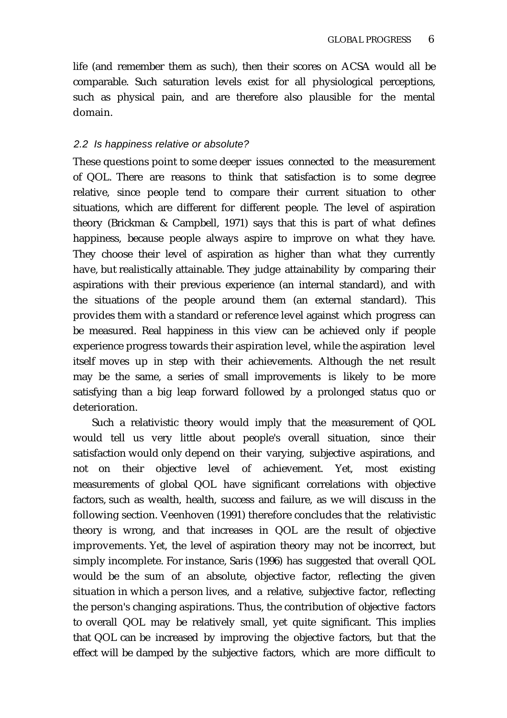life (and remember them as such), then their scores on ACSA would all be comparable. Such saturation levels exist for all physiological perceptions, such as physical pain, and are therefore also plausible for the mental domain.

#### *2.2 Is happiness relative or absolute?*

These questions point to some deeper issues connected to the measurement of QOL. There are reasons to think that satisfaction is to some degree relative, since people tend to compare their current situation to other situations, which are different for different people. The level of aspiration theory (Brickman & Campbell, 1971) says that this is part of what defines happiness, because people always aspire to improve on what they have. They choose their level of aspiration as higher than what they currently have, but realistically attainable. They judge attainability by comparing their aspirations with their previous experience (an internal standard), and with the situations of the people around them (an external standard). This provides them with a standard or reference level against which progress can be measured. Real happiness in this view can be achieved only if people experience progress towards their aspiration level, while the aspiration level itself moves up in step with their achievements. Although the net result may be the same, a series of small improvements is likely to be more satisfying than a big leap forward followed by a prolonged status quo or deterioration.

Such a relativistic theory would imply that the measurement of QOL would tell us very little about people's overall situation, since their satisfaction would only depend on their varying, subjective aspirations, and not on their objective level of achievement. Yet, most existing measurements of global QOL have significant correlations with objective factors, such as wealth, health, success and failure, as we will discuss in the following section. Veenhoven (1991) therefore concludes that the relativistic theory is wrong, and that increases in QOL are the result of objective improvements. Yet, the level of aspiration theory may not be incorrect, but simply incomplete. For instance, Saris (1996) has suggested that overall QOL would be the sum of an absolute, objective factor, reflecting the given situation in which a person lives, and a relative, subjective factor, reflecting the person's changing aspirations. Thus, the contribution of objective factors to overall QOL may be relatively small, yet quite significant. This implies that QOL can be increased by improving the objective factors, but that the effect will be damped by the subjective factors, which are more difficult to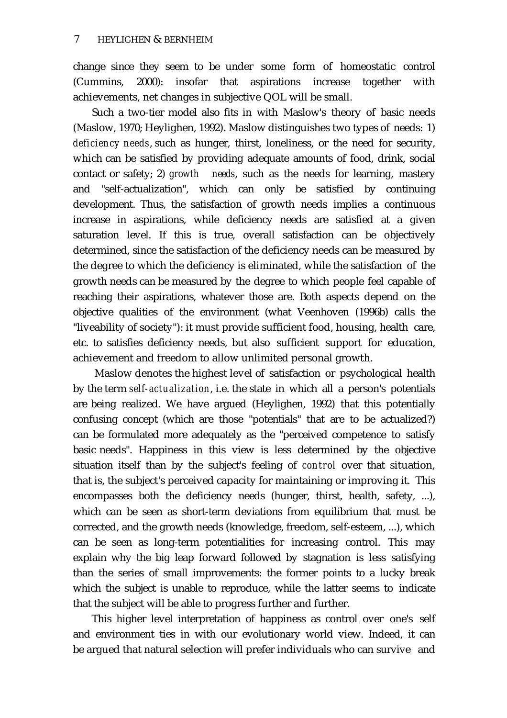change since they seem to be under some form of homeostatic control (Cummins, 2000): insofar that aspirations increase together with achievements, net changes in subjective QOL will be small.

Such a two-tier model also fits in with Maslow's theory of basic needs (Maslow, 1970; Heylighen, 1992). Maslow distinguishes two types of needs: 1) *deficiency needs*, such as hunger, thirst, loneliness, or the need for security, which can be satisfied by providing adequate amounts of food, drink, social contact or safety; 2) *growth needs*, such as the needs for learning, mastery and "self-actualization", which can only be satisfied by continuing development. Thus, the satisfaction of growth needs implies a continuous increase in aspirations, while deficiency needs are satisfied at a given saturation level. If this is true, overall satisfaction can be objectively determined, since the satisfaction of the deficiency needs can be measured by the degree to which the deficiency is eliminated, while the satisfaction of the growth needs can be measured by the degree to which people feel capable of reaching their aspirations, whatever those are. Both aspects depend on the objective qualities of the environment (what Veenhoven (1996b) calls the "liveability of society"): it must provide sufficient food, housing, health care, etc. to satisfies deficiency needs, but also sufficient support for education, achievement and freedom to allow unlimited personal growth.

 Maslow denotes the highest level of satisfaction or psychological health by the term *self-actualization*, i.e. the state in which all a person's potentials are being realized. We have argued (Heylighen, 1992) that this potentially confusing concept (which are those "potentials" that are to be actualized?) can be formulated more adequately as the "perceived competence to satisfy basic needs". Happiness in this view is less determined by the objective situation itself than by the subject's feeling of *control* over that situation, that is, the subject's perceived capacity for maintaining or improving it. This encompasses both the deficiency needs (hunger, thirst, health, safety, ...), which can be seen as short-term deviations from equilibrium that must be corrected, and the growth needs (knowledge, freedom, self-esteem, ...), which can be seen as long-term potentialities for increasing control. This may explain why the big leap forward followed by stagnation is less satisfying than the series of small improvements: the former points to a lucky break which the subject is unable to reproduce, while the latter seems to indicate that the subject will be able to progress further and further.

This higher level interpretation of happiness as control over one's self and environment ties in with our evolutionary world view. Indeed, it can be argued that natural selection will prefer individuals who can survive and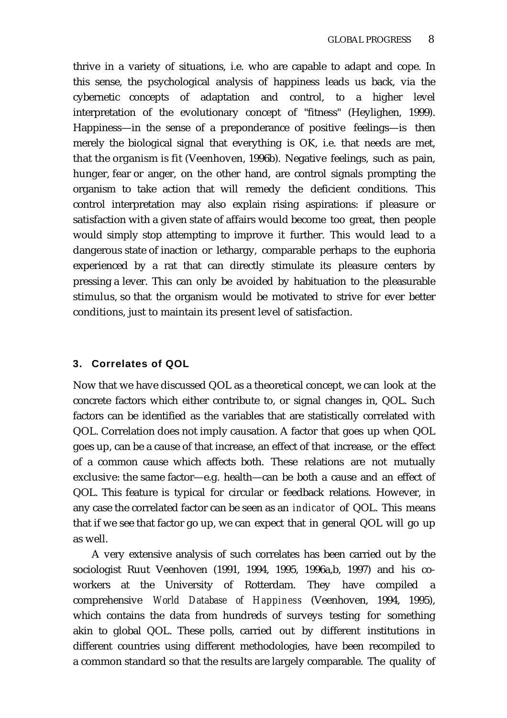thrive in a variety of situations, i.e. who are capable to adapt and cope. In this sense, the psychological analysis of happiness leads us back, via the cybernetic concepts of adaptation and control, to a higher level interpretation of the evolutionary concept of "fitness" (Heylighen, 1999). Happiness—in the sense of a preponderance of positive feelings—is then merely the biological signal that everything is OK, i.e. that needs are met, that the organism is fit (Veenhoven, 1996b). Negative feelings, such as pain, hunger, fear or anger, on the other hand, are control signals prompting the organism to take action that will remedy the deficient conditions. This control interpretation may also explain rising aspirations: if pleasure or satisfaction with a given state of affairs would become too great, then people would simply stop attempting to improve it further. This would lead to a dangerous state of inaction or lethargy, comparable perhaps to the euphoria experienced by a rat that can directly stimulate its pleasure centers by pressing a lever. This can only be avoided by habituation to the pleasurable stimulus, so that the organism would be motivated to strive for ever better conditions, just to maintain its present level of satisfaction.

#### **3. Correlates of QOL**

Now that we have discussed QOL as a theoretical concept, we can look at the concrete factors which either contribute to, or signal changes in, QOL. Such factors can be identified as the variables that are statistically correlated with QOL. Correlation does not imply causation. A factor that goes up when QOL goes up, can be a cause of that increase, an effect of that increase, or the effect of a common cause which affects both. These relations are not mutually exclusive: the same factor—e.g. health—can be both a cause and an effect of QOL. This feature is typical for circular or feedback relations. However, in any case the correlated factor can be seen as an *indicator* of QOL. This means that if we see that factor go up, we can expect that in general QOL will go up as well.

A very extensive analysis of such correlates has been carried out by the sociologist Ruut Veenhoven (1991, 1994, 1995, 1996a,b, 1997) and his coworkers at the University of Rotterdam. They have compiled a comprehensive *World Database of Happiness* (Veenhoven, 1994, 1995), which contains the data from hundreds of surveys testing for something akin to global QOL. These polls, carried out by different institutions in different countries using different methodologies, have been recompiled to a common standard so that the results are largely comparable. The quality of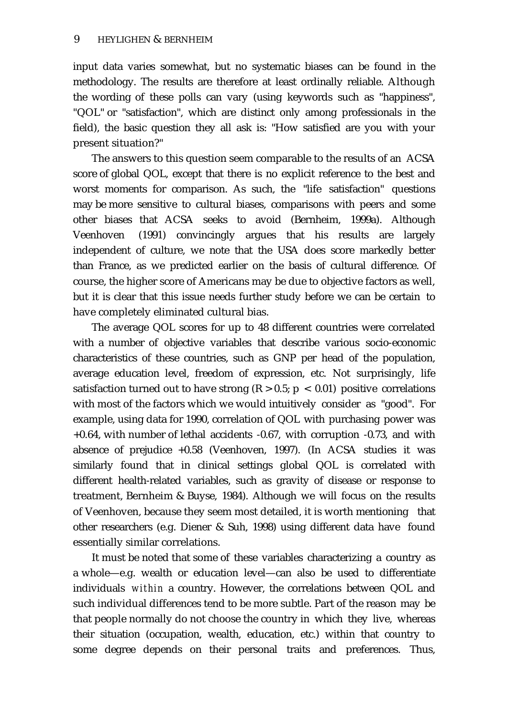input data varies somewhat, but no systematic biases can be found in the methodology. The results are therefore at least ordinally reliable. Although the wording of these polls can vary (using keywords such as "happiness", "QOL" or "satisfaction", which are distinct only among professionals in the field), the basic question they all ask is: "How satisfied are you with your present situation?"

The answers to this question seem comparable to the results of an ACSA score of global QOL, except that there is no explicit reference to the best and worst moments for comparison. As such, the "life satisfaction" questions may be more sensitive to cultural biases, comparisons with peers and some other biases that ACSA seeks to avoid (Bernheim, 1999a). Although Veenhoven (1991) convincingly argues that his results are largely independent of culture, we note that the USA does score markedly better than France, as we predicted earlier on the basis of cultural difference. Of course, the higher score of Americans may be due to objective factors as well, but it is clear that this issue needs further study before we can be certain to have completely eliminated cultural bias.

The average QOL scores for up to 48 different countries were correlated with a number of objective variables that describe various socio-economic characteristics of these countries, such as GNP per head of the population, average education level, freedom of expression, etc. Not surprisingly, life satisfaction turned out to have strong ( $R > 0.5$ ;  $p < 0.01$ ) positive correlations with most of the factors which we would intuitively consider as "good". For example, using data for 1990, correlation of QOL with purchasing power was +0.64, with number of lethal accidents -0.67, with corruption -0.73, and with absence of prejudice +0.58 (Veenhoven, 1997). (In ACSA studies it was similarly found that in clinical settings global QOL is correlated with different health-related variables, such as gravity of disease or response to treatment, Bernheim & Buyse, 1984). Although we will focus on the results of Veenhoven, because they seem most detailed, it is worth mentioning that other researchers (e.g. Diener & Suh, 1998) using different data have found essentially similar correlations.

It must be noted that some of these variables characterizing a country as a whole—e.g. wealth or education level—can also be used to differentiate individuals *within* a country. However, the correlations between QOL and such individual differences tend to be more subtle. Part of the reason may be that people normally do not choose the country in which they live, whereas their situation (occupation, wealth, education, etc.) within that country to some degree depends on their personal traits and preferences. Thus,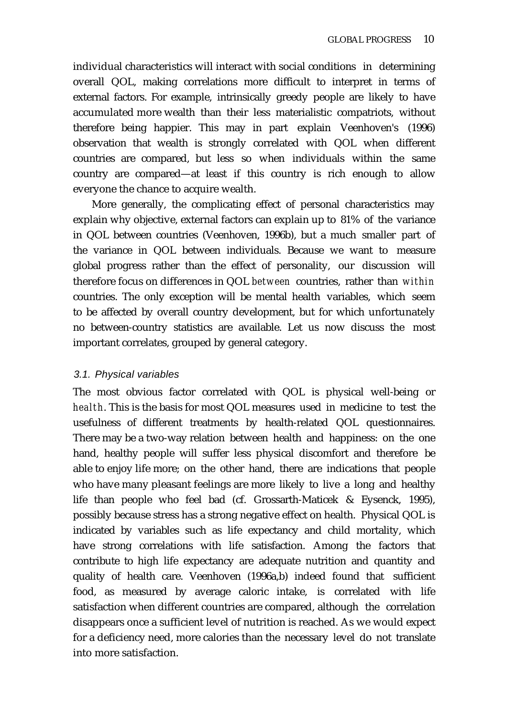individual characteristics will interact with social conditions in determining overall QOL, making correlations more difficult to interpret in terms of external factors. For example, intrinsically greedy people are likely to have accumulated more wealth than their less materialistic compatriots, without therefore being happier. This may in part explain Veenhoven's (1996) observation that wealth is strongly correlated with QOL when different countries are compared, but less so when individuals within the same country are compared—at least if this country is rich enough to allow everyone the chance to acquire wealth.

More generally, the complicating effect of personal characteristics may explain why objective, external factors can explain up to 81% of the variance in QOL between countries (Veenhoven, 1996b), but a much smaller part of the variance in QOL between individuals. Because we want to measure global progress rather than the effect of personality, our discussion will therefore focus on differences in QOL *between* countries, rather than *within* countries. The only exception will be mental health variables, which seem to be affected by overall country development, but for which unfortunately no between-country statistics are available. Let us now discuss the most important correlates, grouped by general category.

#### *3.1. Physical variables*

The most obvious factor correlated with QOL is physical well-being or *health*. This is the basis for most QOL measures used in medicine to test the usefulness of different treatments by health-related QOL questionnaires. There may be a two-way relation between health and happiness: on the one hand, healthy people will suffer less physical discomfort and therefore be able to enjoy life more; on the other hand, there are indications that people who have many pleasant feelings are more likely to live a long and healthy life than people who feel bad (cf. Grossarth-Maticek & Eysenck, 1995), possibly because stress has a strong negative effect on health. Physical QOL is indicated by variables such as life expectancy and child mortality, which have strong correlations with life satisfaction. Among the factors that contribute to high life expectancy are adequate nutrition and quantity and quality of health care. Veenhoven (1996a,b) indeed found that sufficient food, as measured by average caloric intake, is correlated with life satisfaction when different countries are compared, although the correlation disappears once a sufficient level of nutrition is reached. As we would expect for a deficiency need, more calories than the necessary level do not translate into more satisfaction.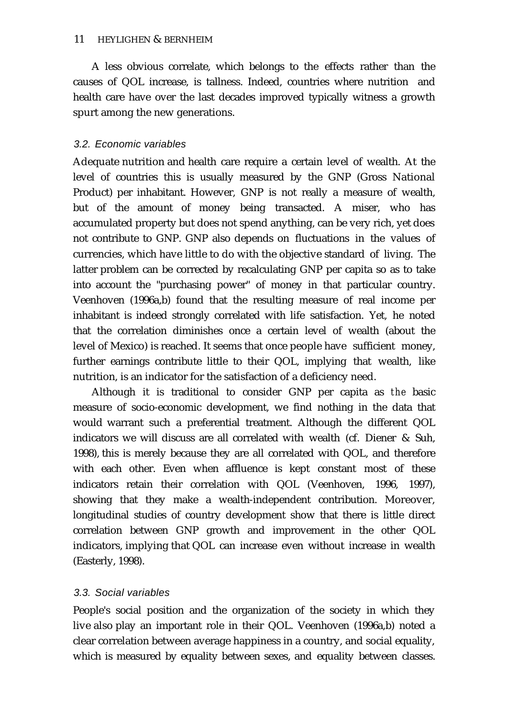A less obvious correlate, which belongs to the effects rather than the causes of QOL increase, is tallness. Indeed, countries where nutrition and health care have over the last decades improved typically witness a growth spurt among the new generations.

#### *3.2. Economic variables*

Adequate nutrition and health care require a certain level of wealth. At the level of countries this is usually measured by the GNP (Gross National Product) per inhabitant. However, GNP is not really a measure of wealth, but of the amount of money being transacted. A miser, who has accumulated property but does not spend anything, can be very rich, yet does not contribute to GNP. GNP also depends on fluctuations in the values of currencies, which have little to do with the objective standard of living. The latter problem can be corrected by recalculating GNP per capita so as to take into account the "purchasing power" of money in that particular country. Veenhoven (1996a,b) found that the resulting measure of real income per inhabitant is indeed strongly correlated with life satisfaction. Yet, he noted that the correlation diminishes once a certain level of wealth (about the level of Mexico) is reached. It seems that once people have sufficient money, further earnings contribute little to their QOL, implying that wealth, like nutrition, is an indicator for the satisfaction of a deficiency need.

Although it is traditional to consider GNP per capita as *the* basic measure of socio-economic development, we find nothing in the data that would warrant such a preferential treatment. Although the different QOL indicators we will discuss are all correlated with wealth (cf. Diener & Suh, 1998), this is merely because they are all correlated with QOL, and therefore with each other. Even when affluence is kept constant most of these indicators retain their correlation with QOL (Veenhoven, 1996, 1997), showing that they make a wealth-independent contribution. Moreover, longitudinal studies of country development show that there is little direct correlation between GNP growth and improvement in the other QOL indicators, implying that QOL can increase even without increase in wealth (Easterly, 1998).

#### *3.3. Social variables*

People's social position and the organization of the society in which they live also play an important role in their QOL. Veenhoven (1996a,b) noted a clear correlation between average happiness in a country, and social equality, which is measured by equality between sexes, and equality between classes.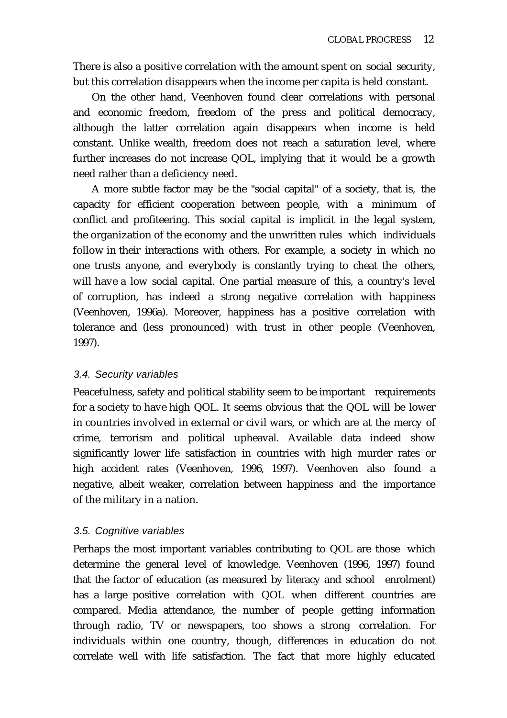There is also a positive correlation with the amount spent on social security, but this correlation disappears when the income per capita is held constant.

On the other hand, Veenhoven found clear correlations with personal and economic freedom, freedom of the press and political democracy, although the latter correlation again disappears when income is held constant. Unlike wealth, freedom does not reach a saturation level, where further increases do not increase QOL, implying that it would be a growth need rather than a deficiency need.

A more subtle factor may be the "social capital" of a society, that is, the capacity for efficient cooperation between people, with a minimum of conflict and profiteering. This social capital is implicit in the legal system, the organization of the economy and the unwritten rules which individuals follow in their interactions with others. For example, a society in which no one trusts anyone, and everybody is constantly trying to cheat the others, will have a low social capital. One partial measure of this, a country's level of corruption, has indeed a strong negative correlation with happiness (Veenhoven, 1996a). Moreover, happiness has a positive correlation with tolerance and (less pronounced) with trust in other people (Veenhoven, 1997).

# *3.4. Security variables*

Peacefulness, safety and political stability seem to be important requirements for a society to have high QOL. It seems obvious that the QOL will be lower in countries involved in external or civil wars, or which are at the mercy of crime, terrorism and political upheaval. Available data indeed show significantly lower life satisfaction in countries with high murder rates or high accident rates (Veenhoven, 1996, 1997). Veenhoven also found a negative, albeit weaker, correlation between happiness and the importance of the military in a nation.

# *3.5. Cognitive variables*

Perhaps the most important variables contributing to QOL are those which determine the general level of knowledge. Veenhoven (1996, 1997) found that the factor of education (as measured by literacy and school enrolment) has a large positive correlation with QOL when different countries are compared. Media attendance, the number of people getting information through radio, TV or newspapers, too shows a strong correlation. For individuals within one country, though, differences in education do not correlate well with life satisfaction. The fact that more highly educated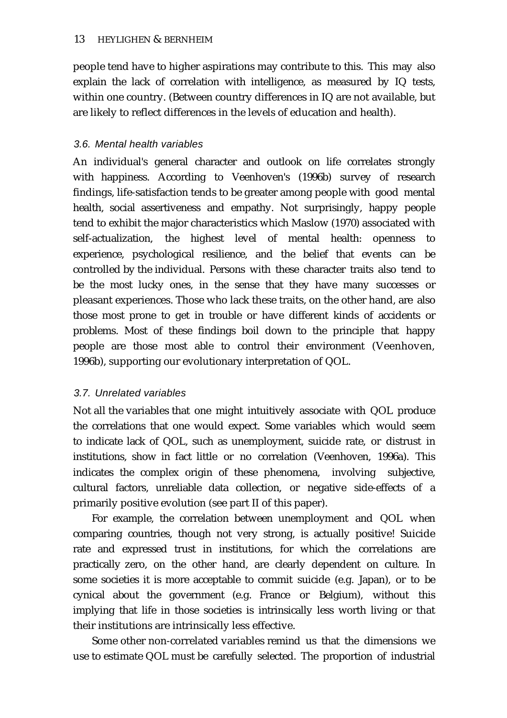people tend have to higher aspirations may contribute to this. This may also explain the lack of correlation with intelligence, as measured by IQ tests, within one country. (Between country differences in IQ are not available, but are likely to reflect differences in the levels of education and health).

# *3.6. Mental health variables*

An individual's general character and outlook on life correlates strongly with happiness. According to Veenhoven's (1996b) survey of research findings, life-satisfaction tends to be greater among people with good mental health, social assertiveness and empathy. Not surprisingly, happy people tend to exhibit the major characteristics which Maslow (1970) associated with self-actualization, the highest level of mental health: openness to experience, psychological resilience, and the belief that events can be controlled by the individual. Persons with these character traits also tend to be the most lucky ones, in the sense that they have many successes or pleasant experiences. Those who lack these traits, on the other hand, are also those most prone to get in trouble or have different kinds of accidents or problems. Most of these findings boil down to the principle that happy people are those most able to control their environment (Veenhoven, 1996b), supporting our evolutionary interpretation of QOL.

# *3.7. Unrelated variables*

Not all the variables that one might intuitively associate with QOL produce the correlations that one would expect. Some variables which would seem to indicate lack of QOL, such as unemployment, suicide rate, or distrust in institutions, show in fact little or no correlation (Veenhoven, 1996a). This indicates the complex origin of these phenomena, involving subjective, cultural factors, unreliable data collection, or negative side-effects of a primarily positive evolution (see part II of this paper).

For example, the correlation between unemployment and QOL when comparing countries, though not very strong, is actually positive! Suicide rate and expressed trust in institutions, for which the correlations are practically zero, on the other hand, are clearly dependent on culture. In some societies it is more acceptable to commit suicide (e.g. Japan), or to be cynical about the government (e.g. France or Belgium), without this implying that life in those societies is intrinsically less worth living or that their institutions are intrinsically less effective.

Some other non-correlated variables remind us that the dimensions we use to estimate QOL must be carefully selected. The proportion of industrial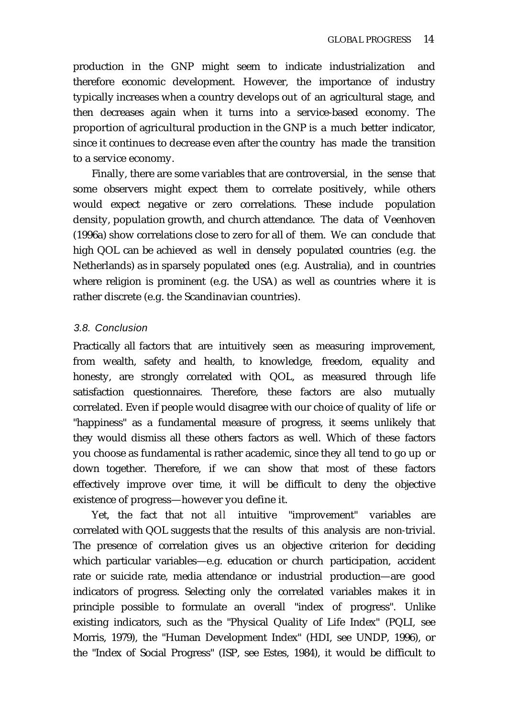production in the GNP might seem to indicate industrialization and therefore economic development. However, the importance of industry typically increases when a country develops out of an agricultural stage, and then decreases again when it turns into a service-based economy. The proportion of agricultural production in the GNP is a much better indicator, since it continues to decrease even after the country has made the transition to a service economy.

Finally, there are some variables that are controversial, in the sense that some observers might expect them to correlate positively, while others would expect negative or zero correlations. These include population density, population growth, and church attendance. The data of Veenhoven (1996a) show correlations close to zero for all of them. We can conclude that high QOL can be achieved as well in densely populated countries (e.g. the Netherlands) as in sparsely populated ones (e.g. Australia), and in countries where religion is prominent (e.g. the USA) as well as countries where it is rather discrete (e.g. the Scandinavian countries).

# *3.8. Conclusion*

Practically all factors that are intuitively seen as measuring improvement, from wealth, safety and health, to knowledge, freedom, equality and honesty, are strongly correlated with QOL, as measured through life satisfaction questionnaires. Therefore, these factors are also mutually correlated. Even if people would disagree with our choice of quality of life or "happiness" as a fundamental measure of progress, it seems unlikely that they would dismiss all these others factors as well. Which of these factors you choose as fundamental is rather academic, since they all tend to go up or down together. Therefore, if we can show that most of these factors effectively improve over time, it will be difficult to deny the objective existence of progress—however you define it.

Yet, the fact that not *all* intuitive "improvement" variables are correlated with QOL suggests that the results of this analysis are non-trivial. The presence of correlation gives us an objective criterion for deciding which particular variables—e.g. education or church participation, accident rate or suicide rate, media attendance or industrial production—are good indicators of progress. Selecting only the correlated variables makes it in principle possible to formulate an overall "index of progress". Unlike existing indicators, such as the "Physical Quality of Life Index" (PQLI, see Morris, 1979), the "Human Development Index" (HDI, see UNDP, 1996), or the "Index of Social Progress" (ISP, see Estes, 1984), it would be difficult to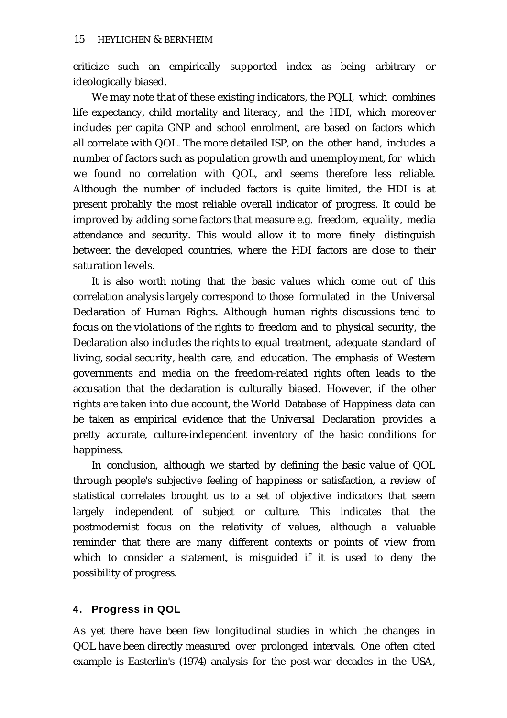criticize such an empirically supported index as being arbitrary or ideologically biased.

We may note that of these existing indicators, the PQLI, which combines life expectancy, child mortality and literacy, and the HDI, which moreover includes per capita GNP and school enrolment, are based on factors which all correlate with QOL. The more detailed ISP, on the other hand, includes a number of factors such as population growth and unemployment, for which we found no correlation with QOL, and seems therefore less reliable. Although the number of included factors is quite limited, the HDI is at present probably the most reliable overall indicator of progress. It could be improved by adding some factors that measure e.g. freedom, equality, media attendance and security. This would allow it to more finely distinguish between the developed countries, where the HDI factors are close to their saturation levels.

It is also worth noting that the basic values which come out of this correlation analysis largely correspond to those formulated in the Universal Declaration of Human Rights. Although human rights discussions tend to focus on the violations of the rights to freedom and to physical security, the Declaration also includes the rights to equal treatment, adequate standard of living, social security, health care, and education. The emphasis of Western governments and media on the freedom-related rights often leads to the accusation that the declaration is culturally biased. However, if the other rights are taken into due account, the World Database of Happiness data can be taken as empirical evidence that the Universal Declaration provides a pretty accurate, culture-independent inventory of the basic conditions for happiness.

In conclusion, although we started by defining the basic value of QOL through people's subjective feeling of happiness or satisfaction, a review of statistical correlates brought us to a set of objective indicators that seem largely independent of subject or culture. This indicates that the postmodernist focus on the relativity of values, although a valuable reminder that there are many different contexts or points of view from which to consider a statement, is misguided if it is used to deny the possibility of progress.

# **4. Progress in QOL**

As yet there have been few longitudinal studies in which the changes in QOL have been directly measured over prolonged intervals. One often cited example is Easterlin's (1974) analysis for the post-war decades in the USA,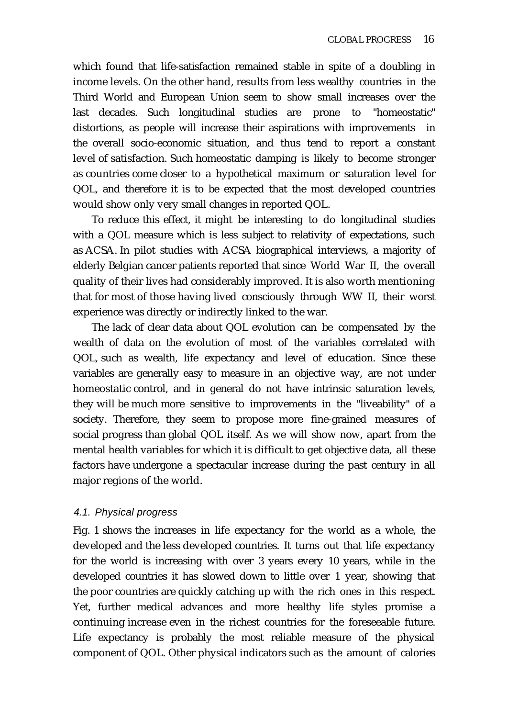which found that life-satisfaction remained stable in spite of a doubling in income levels. On the other hand, results from less wealthy countries in the Third World and European Union seem to show small increases over the last decades. Such longitudinal studies are prone to "homeostatic" distortions, as people will increase their aspirations with improvements in the overall socio-economic situation, and thus tend to report a constant level of satisfaction. Such homeostatic damping is likely to become stronger as countries come closer to a hypothetical maximum or saturation level for QOL, and therefore it is to be expected that the most developed countries would show only very small changes in reported QOL.

To reduce this effect, it might be interesting to do longitudinal studies with a QOL measure which is less subject to relativity of expectations, such as ACSA. In pilot studies with ACSA biographical interviews, a majority of elderly Belgian cancer patients reported that since World War II, the overall quality of their lives had considerably improved. It is also worth mentioning that for most of those having lived consciously through WW II, their worst experience was directly or indirectly linked to the war.

The lack of clear data about QOL evolution can be compensated by the wealth of data on the evolution of most of the variables correlated with QOL, such as wealth, life expectancy and level of education. Since these variables are generally easy to measure in an objective way, are not under homeostatic control, and in general do not have intrinsic saturation levels, they will be much more sensitive to improvements in the "liveability" of a society. Therefore, they seem to propose more fine-grained measures of social progress than global QOL itself. As we will show now, apart from the mental health variables for which it is difficult to get objective data, all these factors have undergone a spectacular increase during the past century in all major regions of the world.

# *4.1. Physical progress*

Fig. 1 shows the increases in life expectancy for the world as a whole, the developed and the less developed countries. It turns out that life expectancy for the world is increasing with over 3 years every 10 years, while in the developed countries it has slowed down to little over 1 year, showing that the poor countries are quickly catching up with the rich ones in this respect. Yet, further medical advances and more healthy life styles promise a continuing increase even in the richest countries for the foreseeable future. Life expectancy is probably the most reliable measure of the physical component of QOL. Other physical indicators such as the amount of calories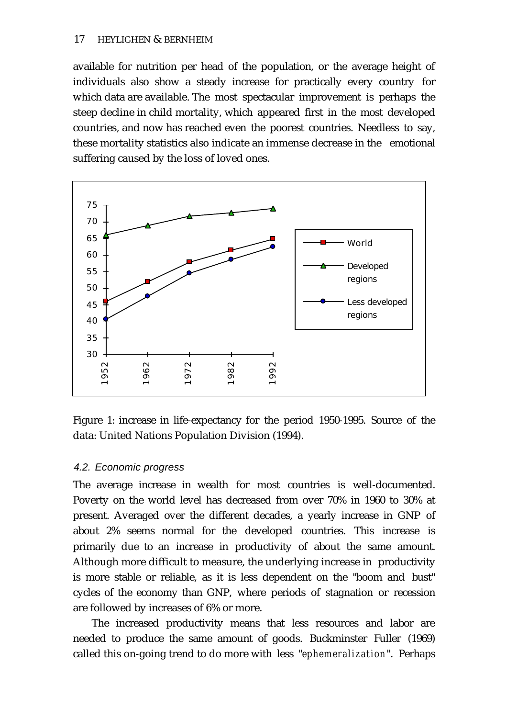available for nutrition per head of the population, or the average height of individuals also show a steady increase for practically every country for which data are available. The most spectacular improvement is perhaps the steep decline in child mortality, which appeared first in the most developed countries, and now has reached even the poorest countries. Needless to say, these mortality statistics also indicate an immense decrease in the emotional suffering caused by the loss of loved ones.



Figure 1: increase in life-expectancy for the period 1950-1995. Source of the data: United Nations Population Division (1994).

# *4.2. Economic progress*

The average increase in wealth for most countries is well-documented. Poverty on the world level has decreased from over 70% in 1960 to 30% at present. Averaged over the different decades, a yearly increase in GNP of about 2% seems normal for the developed countries. This increase is primarily due to an increase in productivity of about the same amount. Although more difficult to measure, the underlying increase in productivity is more stable or reliable, as it is less dependent on the "boom and bust" cycles of the economy than GNP, where periods of stagnation or recession are followed by increases of 6% or more.

The increased productivity means that less resources and labor are needed to produce the same amount of goods. Buckminster Fuller (1969) called this on-going trend to do more with less "*ephemeralization*". Perhaps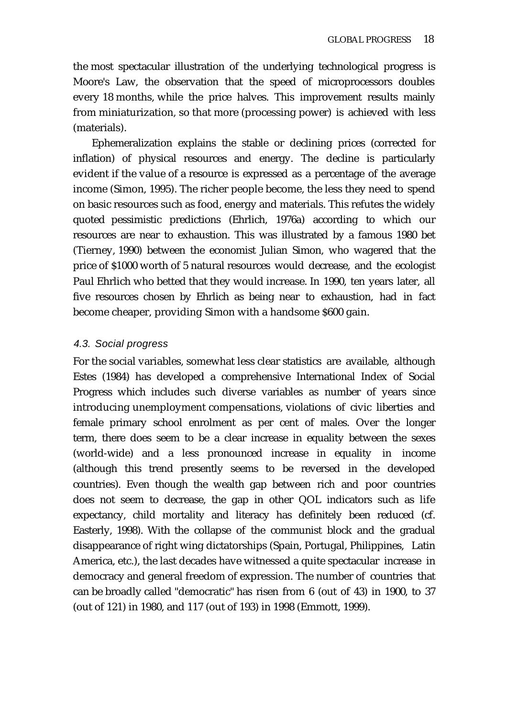the most spectacular illustration of the underlying technological progress is Moore's Law, the observation that the speed of microprocessors doubles every 18 months, while the price halves. This improvement results mainly from miniaturization, so that more (processing power) is achieved with less (materials).

Ephemeralization explains the stable or declining prices (corrected for inflation) of physical resources and energy. The decline is particularly evident if the value of a resource is expressed as a percentage of the average income (Simon, 1995). The richer people become, the less they need to spend on basic resources such as food, energy and materials. This refutes the widely quoted pessimistic predictions (Ehrlich, 1976a) according to which our resources are near to exhaustion. This was illustrated by a famous 1980 bet (Tierney, 1990) between the economist Julian Simon, who wagered that the price of \$1000 worth of 5 natural resources would decrease, and the ecologist Paul Ehrlich who betted that they would increase. In 1990, ten years later, all five resources chosen by Ehrlich as being near to exhaustion, had in fact become cheaper, providing Simon with a handsome \$600 gain.

# *4.3. Social progress*

For the social variables, somewhat less clear statistics are available, although Estes (1984) has developed a comprehensive International Index of Social Progress which includes such diverse variables as number of years since introducing unemployment compensations, violations of civic liberties and female primary school enrolment as per cent of males. Over the longer term, there does seem to be a clear increase in equality between the sexes (world-wide) and a less pronounced increase in equality in income (although this trend presently seems to be reversed in the developed countries). Even though the wealth gap between rich and poor countries does not seem to decrease, the gap in other QOL indicators such as life expectancy, child mortality and literacy has definitely been reduced (cf. Easterly, 1998). With the collapse of the communist block and the gradual disappearance of right wing dictatorships (Spain, Portugal, Philippines, Latin America, etc.), the last decades have witnessed a quite spectacular increase in democracy and general freedom of expression. The number of countries that can be broadly called "democratic" has risen from 6 (out of 43) in 1900, to 37 (out of 121) in 1980, and 117 (out of 193) in 1998 (Emmott, 1999).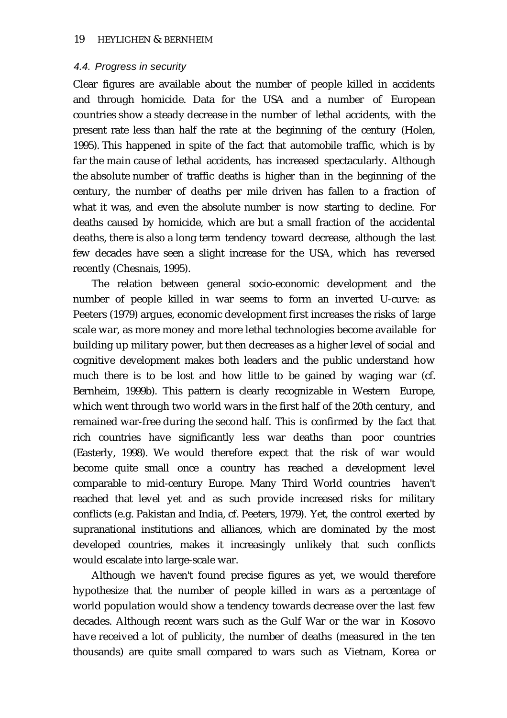#### *4.4. Progress in security*

Clear figures are available about the number of people killed in accidents and through homicide. Data for the USA and a number of European countries show a steady decrease in the number of lethal accidents, with the present rate less than half the rate at the beginning of the century (Holen, 1995). This happened in spite of the fact that automobile traffic, which is by far the main cause of lethal accidents, has increased spectacularly. Although the absolute number of traffic deaths is higher than in the beginning of the century, the number of deaths per mile driven has fallen to a fraction of what it was, and even the absolute number is now starting to decline. For deaths caused by homicide, which are but a small fraction of the accidental deaths, there is also a long term tendency toward decrease, although the last few decades have seen a slight increase for the USA, which has reversed recently (Chesnais, 1995).

The relation between general socio-economic development and the number of people killed in war seems to form an inverted U-curve: as Peeters (1979) argues, economic development first increases the risks of large scale war, as more money and more lethal technologies become available for building up military power, but then decreases as a higher level of social and cognitive development makes both leaders and the public understand how much there is to be lost and how little to be gained by waging war (cf. Bernheim, 1999b). This pattern is clearly recognizable in Western Europe, which went through two world wars in the first half of the 20th century, and remained war-free during the second half. This is confirmed by the fact that rich countries have significantly less war deaths than poor countries (Easterly, 1998). We would therefore expect that the risk of war would become quite small once a country has reached a development level comparable to mid-century Europe. Many Third World countries haven't reached that level yet and as such provide increased risks for military conflicts (e.g. Pakistan and India, cf. Peeters, 1979). Yet, the control exerted by supranational institutions and alliances, which are dominated by the most developed countries, makes it increasingly unlikely that such conflicts would escalate into large-scale war.

Although we haven't found precise figures as yet, we would therefore hypothesize that the number of people killed in wars as a percentage of world population would show a tendency towards decrease over the last few decades. Although recent wars such as the Gulf War or the war in Kosovo have received a lot of publicity, the number of deaths (measured in the ten thousands) are quite small compared to wars such as Vietnam, Korea or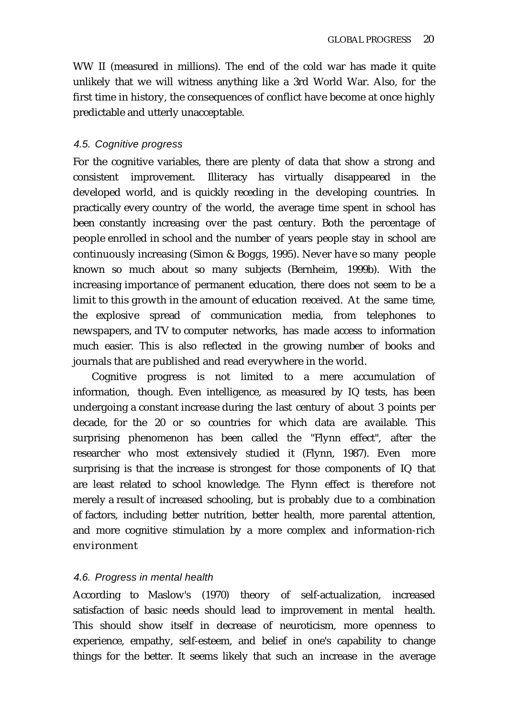WW II (measured in millions). The end of the cold war has made it quite unlikely that we will witness anything like a 3rd World War. Also, for the first time in history, the consequences of conflict have become at once highly predictable and utterly unacceptable.

# *4.5. Cognitive progress*

For the cognitive variables, there are plenty of data that show a strong and consistent improvement. Illiteracy has virtually disappeared in the developed world, and is quickly receding in the developing countries. In practically every country of the world, the average time spent in school has been constantly increasing over the past century. Both the percentage of people enrolled in school and the number of years people stay in school are continuously increasing (Simon & Boggs, 1995). Never have so many people known so much about so many subjects (Bernheim, 1999b). With the increasing importance of permanent education, there does not seem to be a limit to this growth in the amount of education received. At the same time, the explosive spread of communication media, from telephones to newspapers, and TV to computer networks, has made access to information much easier. This is also reflected in the growing number of books and journals that are published and read everywhere in the world.

Cognitive progress is not limited to a mere accumulation of information, though. Even intelligence, as measured by IQ tests, has been undergoing a constant increase during the last century of about 3 points per decade, for the 20 or so countries for which data are available. This surprising phenomenon has been called the "Flynn effect", after the researcher who most extensively studied it (Flynn, 1987). Even more surprising is that the increase is strongest for those components of IQ that are least related to school knowledge. The Flynn effect is therefore not merely a result of increased schooling, but is probably due to a combination of factors, including better nutrition, better health, more parental attention, and more cognitive stimulation by a more complex and information-rich environment

# *4.6. Progress in mental health*

According to Maslow's (1970) theory of self-actualization, increased satisfaction of basic needs should lead to improvement in mental health. This should show itself in decrease of neuroticism, more openness to experience, empathy, self-esteem, and belief in one's capability to change things for the better. It seems likely that such an increase in the average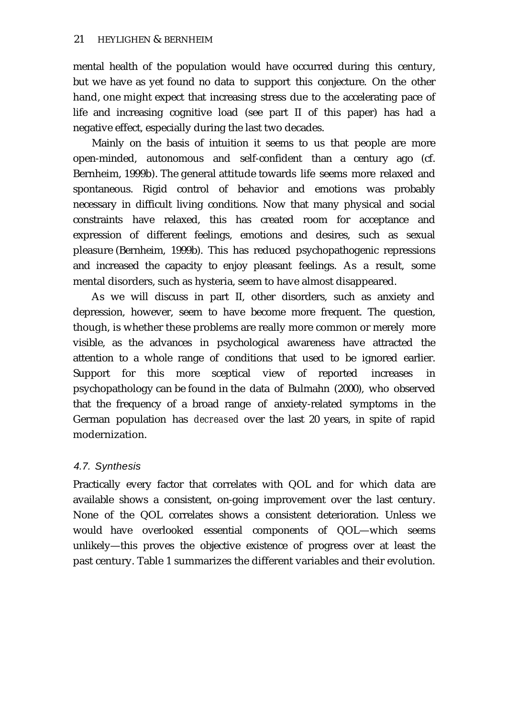mental health of the population would have occurred during this century, but we have as yet found no data to support this conjecture. On the other hand, one might expect that increasing stress due to the accelerating pace of life and increasing cognitive load (see part II of this paper) has had a negative effect, especially during the last two decades.

Mainly on the basis of intuition it seems to us that people are more open-minded, autonomous and self-confident than a century ago (cf. Bernheim, 1999b). The general attitude towards life seems more relaxed and spontaneous. Rigid control of behavior and emotions was probably necessary in difficult living conditions. Now that many physical and social constraints have relaxed, this has created room for acceptance and expression of different feelings, emotions and desires, such as sexual pleasure (Bernheim, 1999b). This has reduced psychopathogenic repressions and increased the capacity to enjoy pleasant feelings. As a result, some mental disorders, such as hysteria, seem to have almost disappeared.

As we will discuss in part II, other disorders, such as anxiety and depression, however, seem to have become more frequent. The question, though, is whether these problems are really more common or merely more visible, as the advances in psychological awareness have attracted the attention to a whole range of conditions that used to be ignored earlier. Support for this more sceptical view of reported increases in psychopathology can be found in the data of Bulmahn (2000), who observed that the frequency of a broad range of anxiety-related symptoms in the German population has *decreased* over the last 20 years, in spite of rapid modernization.

# *4.7. Synthesis*

Practically every factor that correlates with QOL and for which data are available shows a consistent, on-going improvement over the last century. None of the QOL correlates shows a consistent deterioration. Unless we would have overlooked essential components of QOL—which seems unlikely—this proves the objective existence of progress over at least the past century. Table 1 summarizes the different variables and their evolution.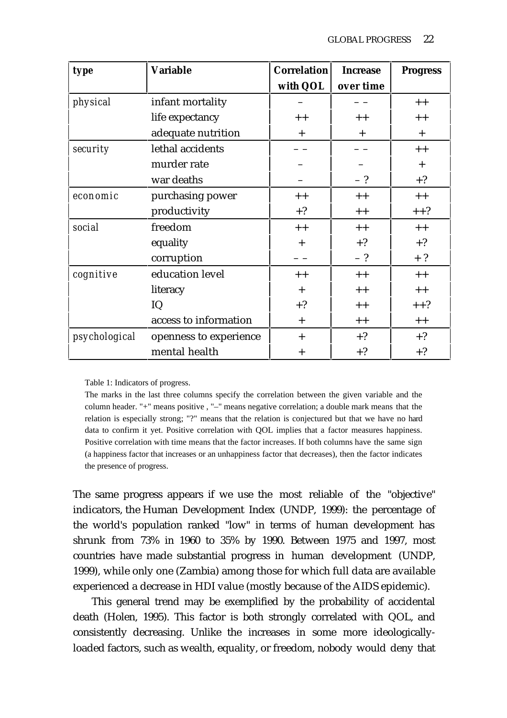| type          | <b>Variable</b>        | <b>Correlation</b> | <b>Increase</b> | <b>Progress</b> |
|---------------|------------------------|--------------------|-----------------|-----------------|
|               |                        | with QOL           | over time       |                 |
| physical      | infant mortality       |                    |                 | $++$            |
|               | life expectancy        | $++$               | $++$            | $+ +$           |
|               | adequate nutrition     | $+$                | $\pm$           | $\ddag$         |
| security      | lethal accidents       |                    |                 | $+ +$           |
|               | murder rate            |                    |                 | $+$             |
|               | war deaths             |                    | $- ?$           | $+?$            |
| economic      | purchasing power       | $+ +$              | $++$            | $+ +$           |
|               | productivity           | $+?$               | $++$            | $++?$           |
| social        | freedom                | $+ +$              | $++$            | $++$            |
|               | equality               | $+$                | $+?$            | $+?$            |
|               | corruption             |                    | $-?$            | $+$ ?           |
| cognitive     | education level        | $+ +$              | $++$            | $++$            |
|               | literacy               | $\ddag$            | $++$            | $++$            |
|               | IQ                     | $+?$               | $++$            | $++?$           |
|               | access to information  | $+$                | $++$            | $+ +$           |
| psychological | openness to experience | $+$                | $+?$            | $+?$            |
|               | mental health          | $+$                | $+?$            | $+?$            |

Table 1: Indicators of progress.

The marks in the last three columns specify the correlation between the given variable and the column header. "+" means positive , "–" means negative correlation; a double mark means that the relation is especially strong; "?" means that the relation is conjectured but that we have no hard data to confirm it yet. Positive correlation with QOL implies that a factor measures happiness. Positive correlation with time means that the factor increases. If both columns have the same sign (a happiness factor that increases or an unhappiness factor that decreases), then the factor indicates the presence of progress.

The same progress appears if we use the most reliable of the "objective" indicators, the Human Development Index (UNDP, 1999): the percentage of the world's population ranked "low" in terms of human development has shrunk from 73% in 1960 to 35% by 1990. Between 1975 and 1997, most countries have made substantial progress in human development (UNDP, 1999), while only one (Zambia) among those for which full data are available experienced a decrease in HDI value (mostly because of the AIDS epidemic).

This general trend may be exemplified by the probability of accidental death (Holen, 1995). This factor is both strongly correlated with QOL, and consistently decreasing. Unlike the increases in some more ideologicallyloaded factors, such as wealth, equality, or freedom, nobody would deny that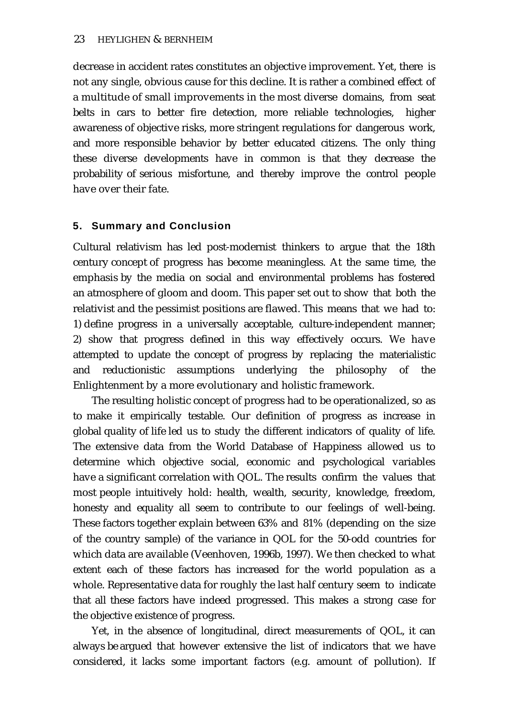decrease in accident rates constitutes an objective improvement. Yet, there is not any single, obvious cause for this decline. It is rather a combined effect of a multitude of small improvements in the most diverse domains, from seat belts in cars to better fire detection, more reliable technologies, higher awareness of objective risks, more stringent regulations for dangerous work, and more responsible behavior by better educated citizens. The only thing these diverse developments have in common is that they decrease the probability of serious misfortune, and thereby improve the control people have over their fate.

# **5. Summary and Conclusion**

Cultural relativism has led post-modernist thinkers to argue that the 18th century concept of progress has become meaningless. At the same time, the emphasis by the media on social and environmental problems has fostered an atmosphere of gloom and doom. This paper set out to show that both the relativist and the pessimist positions are flawed. This means that we had to: 1) define progress in a universally acceptable, culture-independent manner; 2) show that progress defined in this way effectively occurs. We have attempted to update the concept of progress by replacing the materialistic and reductionistic assumptions underlying the philosophy of the Enlightenment by a more evolutionary and holistic framework.

The resulting holistic concept of progress had to be operationalized, so as to make it empirically testable. Our definition of progress as increase in global quality of life led us to study the different indicators of quality of life. The extensive data from the World Database of Happiness allowed us to determine which objective social, economic and psychological variables have a significant correlation with QOL. The results confirm the values that most people intuitively hold: health, wealth, security, knowledge, freedom, honesty and equality all seem to contribute to our feelings of well-being. These factors together explain between 63% and 81% (depending on the size of the country sample) of the variance in QOL for the 50-odd countries for which data are available (Veenhoven, 1996b, 1997). We then checked to what extent each of these factors has increased for the world population as a whole. Representative data for roughly the last half century seem to indicate that all these factors have indeed progressed. This makes a strong case for the objective existence of progress.

Yet, in the absence of longitudinal, direct measurements of QOL, it can always be argued that however extensive the list of indicators that we have considered, it lacks some important factors (e.g. amount of pollution). If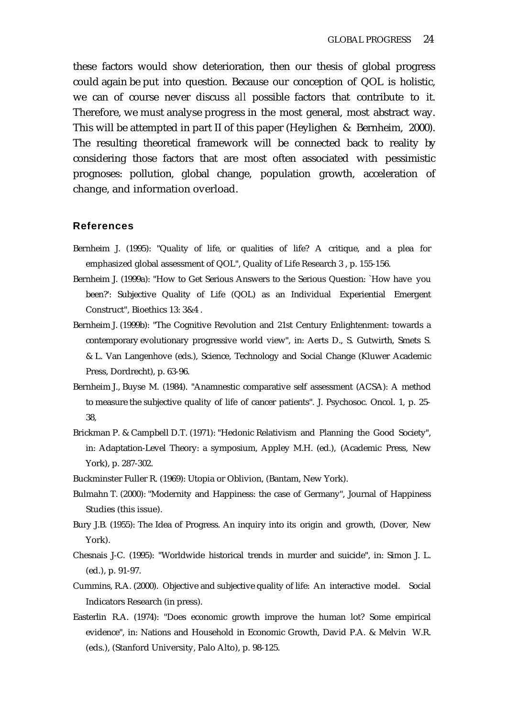these factors would show deterioration, then our thesis of global progress could again be put into question. Because our conception of QOL is holistic, we can of course never discuss *all* possible factors that contribute to it. Therefore, we must analyse progress in the most general, most abstract way. This will be attempted in part II of this paper (Heylighen & Bernheim, 2000). The resulting theoretical framework will be connected back to reality by considering those factors that are most often associated with pessimistic prognoses: pollution, global change, population growth, acceleration of change, and information overload.

#### **References**

- Bernheim J. (1995): "Quality of life, or qualities of life? A critique, and a plea for emphasized global assessment of QOL", Quality of Life Research 3 , p. 155-156.
- Bernheim J. (1999a): "How to Get Serious Answers to the Serious Question: `How have you been?': Subjective Quality of Life (QOL) as an Individual Experiential Emergent Construct", Bioethics 13: 3&4 .
- Bernheim J. (1999b): "The Cognitive Revolution and 21st Century Enlightenment: towards a contemporary evolutionary progressive world view", in: Aerts D., S. Gutwirth, Smets S. & L. Van Langenhove (eds.), Science, Technology and Social Change (Kluwer Academic Press, Dordrecht), p. 63-96.
- Bernheim J., Buyse M. (1984). "Anamnestic comparative self assessment (ACSA): A method to measure the subjective quality of life of cancer patients". J. Psychosoc. Oncol. 1, p. 25- 38,
- Brickman P. & Campbell D.T. (1971): "Hedonic Relativism and Planning the Good Society", in: Adaptation-Level Theory: a symposium, Appley M.H. (ed.), (Academic Press, New York), p. 287-302.
- Buckminster Fuller R. (1969): Utopia or Oblivion, (Bantam, New York).
- Bulmahn T. (2000): "Modernity and Happiness: the case of Germany", Journal of Happiness Studies (this issue).
- Bury J.B. (1955): The Idea of Progress. An inquiry into its origin and growth, (Dover, New York).
- Chesnais J-C. (1995): "Worldwide historical trends in murder and suicide", in: Simon J. L. (ed.), p. 91-97.
- Cummins, R.A. (2000). Objective and subjective quality of life: An interactive model. Social Indicators Research (in press).
- Easterlin R.A. (1974): "Does economic growth improve the human lot? Some empirical evidence", in: Nations and Household in Economic Growth, David P.A. & Melvin W.R. (eds.), (Stanford University, Palo Alto), p. 98-125.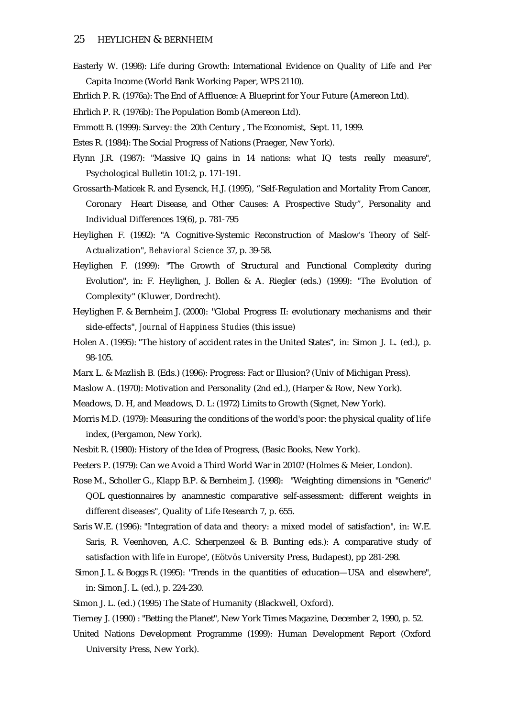- Easterly W. (1998): Life during Growth: International Evidence on Quality of Life and Per Capita Income (World Bank Working Paper, WPS 2110).
- Ehrlich P. R. (1976a): The End of Affluence: A Blueprint for Your Future (Amereon Ltd).
- Ehrlich P. R. (1976b): The Population Bomb (Amereon Ltd).
- Emmott B. (1999): Survey: the 20th Century , The Economist, Sept. 11, 1999.
- Estes R. (1984): The Social Progress of Nations (Praeger, New York).
- Flynn J.R. (1987): "Massive IQ gains in 14 nations: what IQ tests really measure", Psychological Bulletin 101:2, p. 171-191.
- Grossarth-Maticek R. and Eysenck, H.J. (1995), "Self-Regulation and Mortality From Cancer, Coronary Heart Disease, and Other Causes: A Prospective Study", Personality and Individual Differences 19(6), p. 781-795
- Heylighen F. (1992): "A Cognitive-Systemic Reconstruction of Maslow's Theory of Self-Actualization", *Behavioral Science* 37, p. 39-58.
- Heylighen F. (1999): "The Growth of Structural and Functional Complexity during Evolution", in: F. Heylighen, J. Bollen & A. Riegler (eds.) (1999): "The Evolution of Complexity" (Kluwer, Dordrecht).
- Heylighen F. & Bernheim J. (2000): "Global Progress II: evolutionary mechanisms and their side-effects", *Journal of Happiness Studies* (this issue)
- Holen A. (1995): "The history of accident rates in the United States", in: Simon J. L. (ed.), p. 98-105.
- Marx L. & Mazlish B. (Eds.) (1996): Progress: Fact or Illusion? (Univ of Michigan Press).
- Maslow A. (1970): Motivation and Personality (2nd ed.), (Harper & Row, New York).
- Meadows, D. H, and Meadows, D. L: (1972) Limits to Growth (Signet, New York).
- Morris M.D. (1979): Measuring the conditions of the world's poor: the physical quality of life index, (Pergamon, New York).
- Nesbit R. (1980): History of the Idea of Progress, (Basic Books, New York).
- Peeters P. (1979): Can we Avoid a Third World War in 2010? (Holmes & Meier, London).
- Rose M., Scholler G., Klapp B.P. & Bernheim J. (1998): "Weighting dimensions in "Generic" QOL questionnaires by anamnestic comparative self-assessment: different weights in different diseases", Quality of Life Research 7, p. 655.
- Saris W.E. (1996): "Integration of data and theory: a mixed model of satisfaction", in: W.E. Saris, R. Veenhoven, A.C. Scherpenzeel & B. Bunting eds.): A comparative study of satisfaction with life in Europe', (Eötvös University Press, Budapest), pp 281-298.
- Simon J. L. & Boggs R. (1995): "Trends in the quantities of education—USA and elsewhere", in: Simon J. L. (ed.), p. 224-230.
- Simon J. L. (ed.) (1995) The State of Humanity (Blackwell, Oxford).
- Tierney J. (1990) : "Betting the Planet", New York Times Magazine, December 2, 1990, p. 52.
- United Nations Development Programme (1999): Human Development Report (Oxford University Press, New York).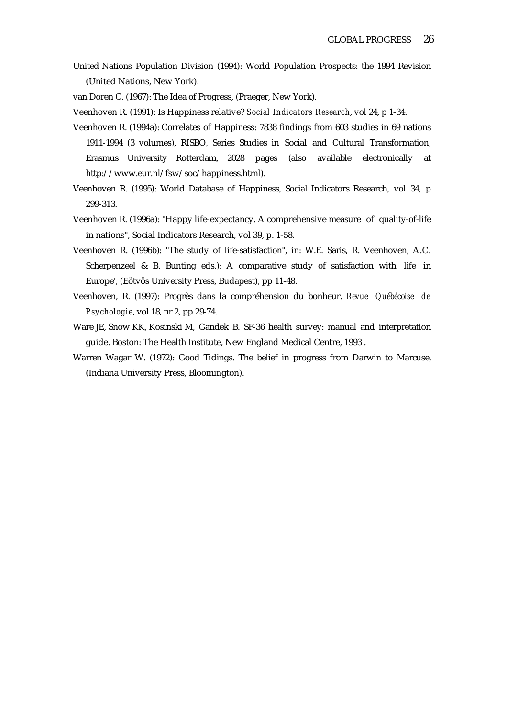- United Nations Population Division (1994): World Population Prospects: the 1994 Revision (United Nations, New York).
- van Doren C. (1967): The Idea of Progress, (Praeger, New York).
- Veenhoven R. (1991): Is Happiness relative? *Social Indicators Research*, vol 24, p 1-34.
- Veenhoven R. (1994a): Correlates of Happiness: 7838 findings from 603 studies in 69 nations 1911-1994 (3 volumes), RISBO, Series Studies in Social and Cultural Transformation, Erasmus University Rotterdam, 2028 pages (also available electronically at http://www.eur.nl/fsw/soc/happiness.html).
- Veenhoven R. (1995): World Database of Happiness, Social Indicators Research, vol 34, p 299-313.
- Veenhoven R. (1996a): "Happy life-expectancy. A comprehensive measure of quality-of-life in nations", Social Indicators Research, vol 39, p. 1-58.
- Veenhoven R. (1996b): "The study of life-satisfaction", in: W.E. Saris, R. Veenhoven, A.C. Scherpenzeel & B. Bunting eds.): A comparative study of satisfaction with life in Europe', (Eötvös University Press, Budapest), pp 11-48.
- Veenhoven, R. (1997): Progrès dans la compréhension du bonheur. *Revue Québécoise de Psychologie*, vol 18, nr 2, pp 29-74.
- Ware JE, Snow KK, Kosinski M, Gandek B. SF-36 health survey: manual and interpretation guide. Boston: The Health Institute, New England Medical Centre, 1993 .
- Warren Wagar W. (1972): Good Tidings. The belief in progress from Darwin to Marcuse, (Indiana University Press, Bloomington).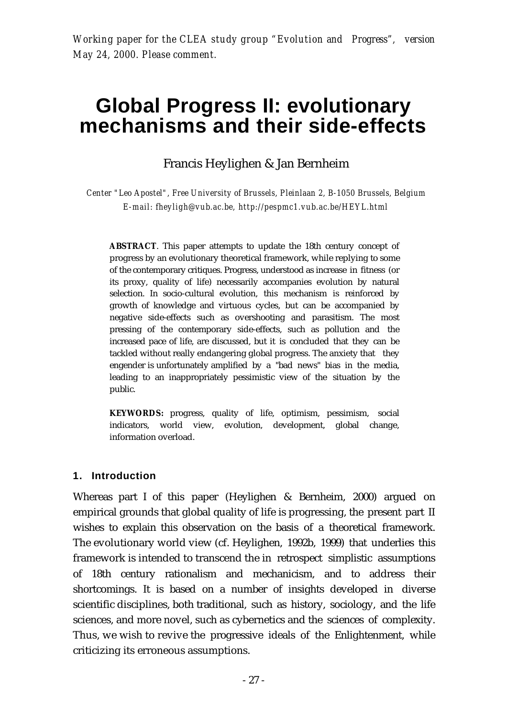# **Global Progress II: evolutionary mechanisms and their side-effects**

# Francis Heylighen & Jan Bernheim

*Center "Leo Apostel", Free University of Brussels, Pleinlaan 2, B-1050 Brussels, Belgium E-mail: fheyligh@vub.ac.be, http://pespmc1.vub.ac.be/HEYL.html*

**ABSTRACT**. This paper attempts to update the 18th century concept of progress by an evolutionary theoretical framework, while replying to some of the contemporary critiques. Progress, understood as increase in fitness (or its proxy, quality of life) necessarily accompanies evolution by natural selection. In socio-cultural evolution, this mechanism is reinforced by growth of knowledge and virtuous cycles, but can be accompanied by negative side-effects such as overshooting and parasitism. The most pressing of the contemporary side-effects, such as pollution and the increased pace of life, are discussed, but it is concluded that they can be tackled without really endangering global progress. The anxiety that they engender is unfortunately amplified by a "bad news" bias in the media, leading to an inappropriately pessimistic view of the situation by the public.

**KEYWORDS:** progress, quality of life, optimism, pessimism, social indicators, world view, evolution, development, global change, information overload.

#### **1. Introduction**

Whereas part I of this paper (Heylighen & Bernheim, 2000) argued on empirical grounds that global quality of life is progressing, the present part II wishes to explain this observation on the basis of a theoretical framework. The evolutionary world view (cf. Heylighen, 1992b, 1999) that underlies this framework is intended to transcend the in retrospect simplistic assumptions of 18th century rationalism and mechanicism, and to address their shortcomings. It is based on a number of insights developed in diverse scientific disciplines, both traditional, such as history, sociology, and the life sciences, and more novel, such as cybernetics and the sciences of complexity. Thus, we wish to revive the progressive ideals of the Enlightenment, while criticizing its erroneous assumptions.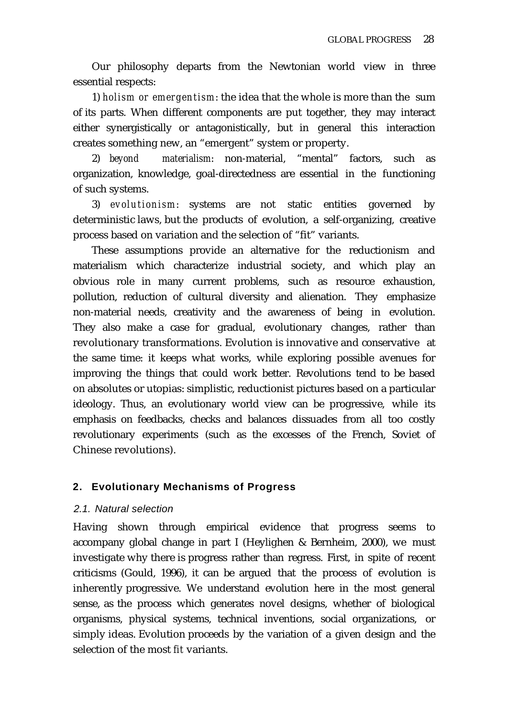Our philosophy departs from the Newtonian world view in three essential respects:

1) *holism or emergentism*: the idea that the whole is more than the sum of its parts. When different components are put together, they may interact either synergistically or antagonistically, but in general this interaction creates something new, an "emergent" system or property.

2) *beyond materialism*: non-material, "mental" factors, such as organization, knowledge, goal-directedness are essential in the functioning of such systems.

3) *evolutionism*: systems are not static entities governed by deterministic laws, but the products of evolution, a self-organizing, creative process based on variation and the selection of "fit" variants.

These assumptions provide an alternative for the reductionism and materialism which characterize industrial society, and which play an obvious role in many current problems, such as resource exhaustion, pollution, reduction of cultural diversity and alienation. They emphasize non-material needs, creativity and the awareness of being in evolution. They also make a case for gradual, evolutionary changes, rather than revolutionary transformations. Evolution is innovative and conservative at the same time: it keeps what works, while exploring possible avenues for improving the things that could work better. Revolutions tend to be based on absolutes or utopias: simplistic, reductionist pictures based on a particular ideology. Thus, an evolutionary world view can be progressive, while its emphasis on feedbacks, checks and balances dissuades from all too costly revolutionary experiments (such as the excesses of the French, Soviet of Chinese revolutions).

# **2. Evolutionary Mechanisms of Progress**

# *2.1. Natural selection*

Having shown through empirical evidence that progress seems to accompany global change in part I (Heylighen & Bernheim, 2000), we must investigate why there is progress rather than regress. First, in spite of recent criticisms (Gould, 1996), it can be argued that the process of evolution is inherently progressive. We understand evolution here in the most general sense, as the process which generates novel designs, whether of biological organisms, physical systems, technical inventions, social organizations, or simply ideas. Evolution proceeds by the variation of a given design and the selection of the most *fit* variants.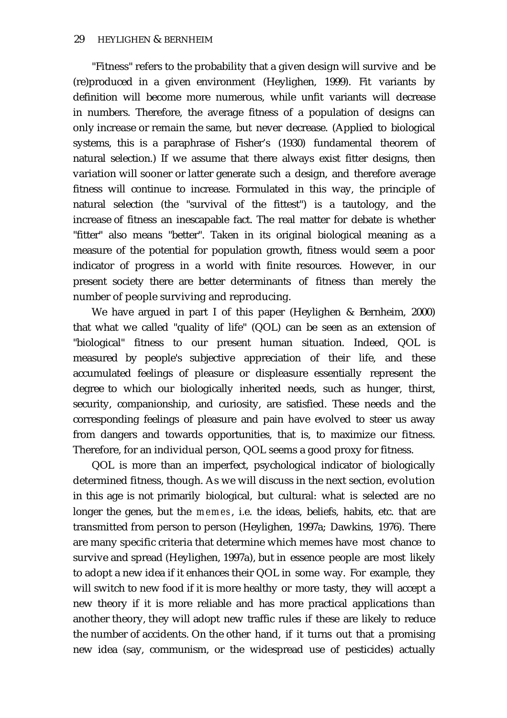"Fitness" refers to the probability that a given design will survive and be (re)produced in a given environment (Heylighen, 1999). Fit variants by definition will become more numerous, while unfit variants will decrease in numbers. Therefore, the average fitness of a population of designs can only increase or remain the same, but never decrease. (Applied to biological systems, this is a paraphrase of Fisher's (1930) fundamental theorem of natural selection.) If we assume that there always exist fitter designs, then variation will sooner or latter generate such a design, and therefore average fitness will continue to increase. Formulated in this way, the principle of natural selection (the "survival of the fittest") is a tautology, and the increase of fitness an inescapable fact. The real matter for debate is whether "fitter" also means "better". Taken in its original biological meaning as a measure of the potential for population growth, fitness would seem a poor indicator of progress in a world with finite resources. However, in our present society there are better determinants of fitness than merely the number of people surviving and reproducing.

We have argued in part I of this paper (Heylighen & Bernheim, 2000) that what we called "quality of life" (QOL) can be seen as an extension of "biological" fitness to our present human situation. Indeed, QOL is measured by people's subjective appreciation of their life, and these accumulated feelings of pleasure or displeasure essentially represent the degree to which our biologically inherited needs, such as hunger, thirst, security, companionship, and curiosity, are satisfied. These needs and the corresponding feelings of pleasure and pain have evolved to steer us away from dangers and towards opportunities, that is, to maximize our fitness. Therefore, for an individual person, QOL seems a good proxy for fitness.

QOL is more than an imperfect, psychological indicator of biologically determined fitness, though. As we will discuss in the next section, evolution in this age is not primarily biological, but cultural: what is selected are no longer the genes, but the *memes*, i.e. the ideas, beliefs, habits, etc. that are transmitted from person to person (Heylighen, 1997a; Dawkins, 1976). There are many specific criteria that determine which memes have most chance to survive and spread (Heylighen, 1997a), but in essence people are most likely to adopt a new idea if it enhances their QOL in some way. For example, they will switch to new food if it is more healthy or more tasty, they will accept a new theory if it is more reliable and has more practical applications than another theory, they will adopt new traffic rules if these are likely to reduce the number of accidents. On the other hand, if it turns out that a promising new idea (say, communism, or the widespread use of pesticides) actually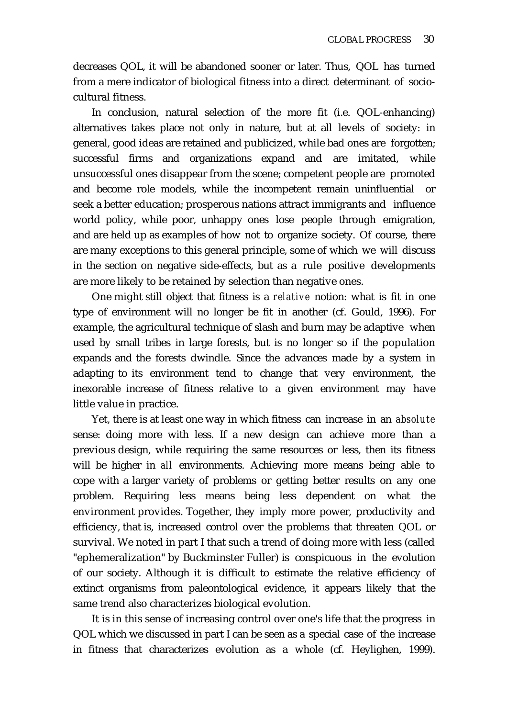decreases QOL, it will be abandoned sooner or later. Thus, QOL has turned from a mere indicator of biological fitness into a direct determinant of sociocultural fitness.

In conclusion, natural selection of the more fit (i.e. QOL-enhancing) alternatives takes place not only in nature, but at all levels of society: in general, good ideas are retained and publicized, while bad ones are forgotten; successful firms and organizations expand and are imitated, while unsuccessful ones disappear from the scene; competent people are promoted and become role models, while the incompetent remain uninfluential or seek a better education; prosperous nations attract immigrants and influence world policy, while poor, unhappy ones lose people through emigration, and are held up as examples of how not to organize society. Of course, there are many exceptions to this general principle, some of which we will discuss in the section on negative side-effects, but as a rule positive developments are more likely to be retained by selection than negative ones.

One might still object that fitness is a *relative* notion: what is fit in one type of environment will no longer be fit in another (cf. Gould, 1996). For example, the agricultural technique of slash and burn may be adaptive when used by small tribes in large forests, but is no longer so if the population expands and the forests dwindle. Since the advances made by a system in adapting to its environment tend to change that very environment, the inexorable increase of fitness relative to a given environment may have little value in practice.

Yet, there is at least one way in which fitness can increase in an *absolute* sense: doing more with less. If a new design can achieve more than a previous design, while requiring the same resources or less, then its fitness will be higher in *all* environments. Achieving more means being able to cope with a larger variety of problems or getting better results on any one problem. Requiring less means being less dependent on what the environment provides. Together, they imply more power, productivity and efficiency, that is, increased control over the problems that threaten QOL or survival. We noted in part I that such a trend of doing more with less (called "ephemeralization" by Buckminster Fuller) is conspicuous in the evolution of our society. Although it is difficult to estimate the relative efficiency of extinct organisms from paleontological evidence, it appears likely that the same trend also characterizes biological evolution.

It is in this sense of increasing control over one's life that the progress in QOL which we discussed in part I can be seen as a special case of the increase in fitness that characterizes evolution as a whole (cf. Heylighen, 1999).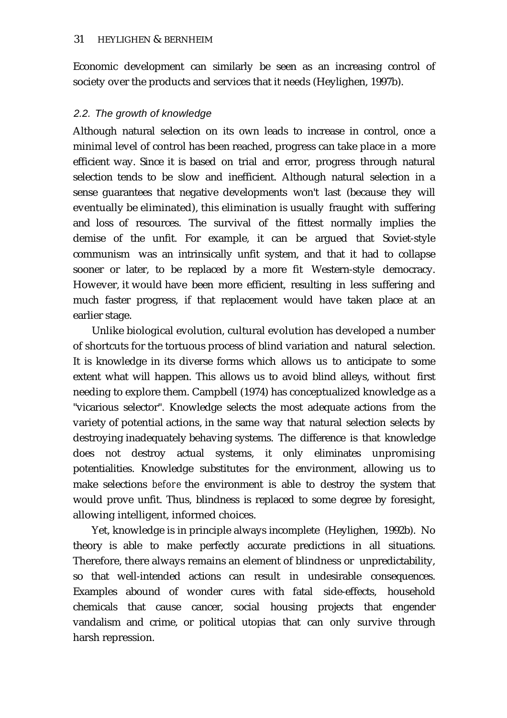Economic development can similarly be seen as an increasing control of society over the products and services that it needs (Heylighen, 1997b).

# *2.2. The growth of knowledge*

Although natural selection on its own leads to increase in control, once a minimal level of control has been reached, progress can take place in a more efficient way. Since it is based on trial and error, progress through natural selection tends to be slow and inefficient. Although natural selection in a sense guarantees that negative developments won't last (because they will eventually be eliminated), this elimination is usually fraught with suffering and loss of resources. The survival of the fittest normally implies the demise of the unfit. For example, it can be argued that Soviet-style communism was an intrinsically unfit system, and that it had to collapse sooner or later, to be replaced by a more fit Western-style democracy. However, it would have been more efficient, resulting in less suffering and much faster progress, if that replacement would have taken place at an earlier stage.

Unlike biological evolution, cultural evolution has developed a number of shortcuts for the tortuous process of blind variation and natural selection. It is knowledge in its diverse forms which allows us to anticipate to some extent what will happen. This allows us to avoid blind alleys, without first needing to explore them. Campbell (1974) has conceptualized knowledge as a "vicarious selector". Knowledge selects the most adequate actions from the variety of potential actions, in the same way that natural selection selects by destroying inadequately behaving systems. The difference is that knowledge does not destroy actual systems, it only eliminates unpromising potentialities. Knowledge substitutes for the environment, allowing us to make selections *before* the environment is able to destroy the system that would prove unfit. Thus, blindness is replaced to some degree by foresight, allowing intelligent, informed choices.

Yet, knowledge is in principle always incomplete (Heylighen, 1992b). No theory is able to make perfectly accurate predictions in all situations. Therefore, there always remains an element of blindness or unpredictability, so that well-intended actions can result in undesirable consequences. Examples abound of wonder cures with fatal side-effects, household chemicals that cause cancer, social housing projects that engender vandalism and crime, or political utopias that can only survive through harsh repression.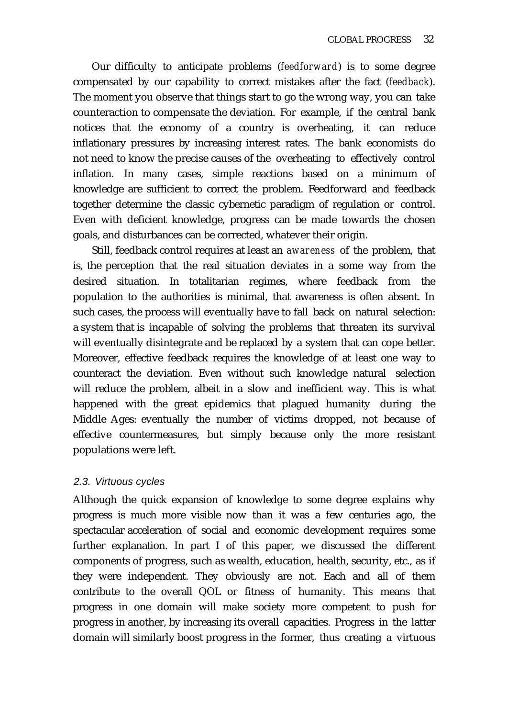Our difficulty to anticipate problems (*feedforward*) is to some degree compensated by our capability to correct mistakes after the fact (*feedback*). The moment you observe that things start to go the wrong way, you can take counteraction to compensate the deviation. For example, if the central bank notices that the economy of a country is overheating, it can reduce inflationary pressures by increasing interest rates. The bank economists do not need to know the precise causes of the overheating to effectively control inflation. In many cases, simple reactions based on a minimum of knowledge are sufficient to correct the problem. Feedforward and feedback together determine the classic cybernetic paradigm of regulation or control. Even with deficient knowledge, progress can be made towards the chosen goals, and disturbances can be corrected, whatever their origin.

Still, feedback control requires at least an *awareness* of the problem, that is, the perception that the real situation deviates in a some way from the desired situation. In totalitarian regimes, where feedback from the population to the authorities is minimal, that awareness is often absent. In such cases, the process will eventually have to fall back on natural selection: a system that is incapable of solving the problems that threaten its survival will eventually disintegrate and be replaced by a system that can cope better. Moreover, effective feedback requires the knowledge of at least one way to counteract the deviation. Even without such knowledge natural selection will reduce the problem, albeit in a slow and inefficient way. This is what happened with the great epidemics that plagued humanity during the Middle Ages: eventually the number of victims dropped, not because of effective countermeasures, but simply because only the more resistant populations were left.

#### *2.3. Virtuous cycles*

Although the quick expansion of knowledge to some degree explains why progress is much more visible now than it was a few centuries ago, the spectacular acceleration of social and economic development requires some further explanation. In part I of this paper, we discussed the different components of progress, such as wealth, education, health, security, etc., as if they were independent. They obviously are not. Each and all of them contribute to the overall QOL or fitness of humanity. This means that progress in one domain will make society more competent to push for progress in another, by increasing its overall capacities. Progress in the latter domain will similarly boost progress in the former, thus creating a virtuous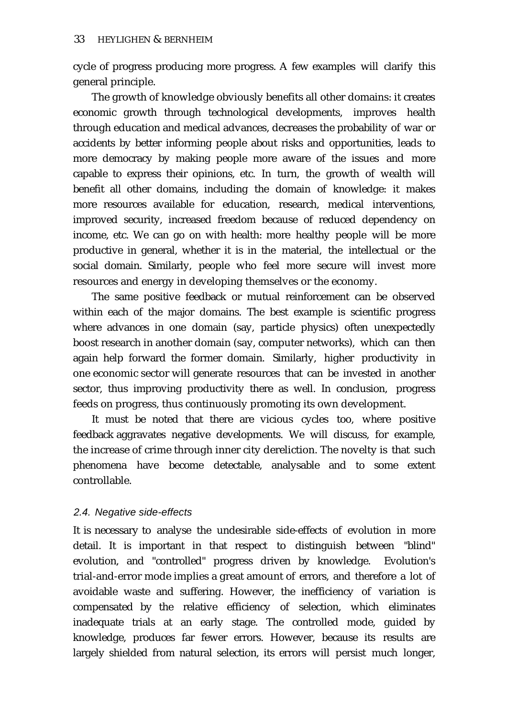cycle of progress producing more progress. A few examples will clarify this general principle.

The growth of knowledge obviously benefits all other domains: it creates economic growth through technological developments, improves health through education and medical advances, decreases the probability of war or accidents by better informing people about risks and opportunities, leads to more democracy by making people more aware of the issues and more capable to express their opinions, etc. In turn, the growth of wealth will benefit all other domains, including the domain of knowledge: it makes more resources available for education, research, medical interventions, improved security, increased freedom because of reduced dependency on income, etc. We can go on with health: more healthy people will be more productive in general, whether it is in the material, the intellectual or the social domain. Similarly, people who feel more secure will invest more resources and energy in developing themselves or the economy.

The same positive feedback or mutual reinforcement can be observed within each of the major domains. The best example is scientific progress where advances in one domain (say, particle physics) often unexpectedly boost research in another domain (say, computer networks), which can then again help forward the former domain. Similarly, higher productivity in one economic sector will generate resources that can be invested in another sector, thus improving productivity there as well. In conclusion, progress feeds on progress, thus continuously promoting its own development.

It must be noted that there are vicious cycles too, where positive feedback aggravates negative developments. We will discuss, for example, the increase of crime through inner city dereliction. The novelty is that such phenomena have become detectable, analysable and to some extent controllable.

# *2.4. Negative side-effects*

It is necessary to analyse the undesirable side-effects of evolution in more detail. It is important in that respect to distinguish between "blind" evolution, and "controlled" progress driven by knowledge. Evolution's trial-and-error mode implies a great amount of errors, and therefore a lot of avoidable waste and suffering. However, the inefficiency of variation is compensated by the relative efficiency of selection, which eliminates inadequate trials at an early stage. The controlled mode, guided by knowledge, produces far fewer errors. However, because its results are largely shielded from natural selection, its errors will persist much longer,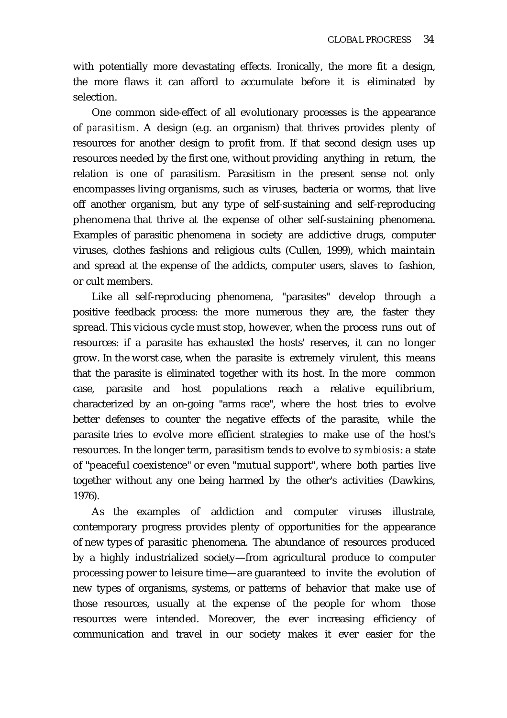with potentially more devastating effects. Ironically, the more fit a design, the more flaws it can afford to accumulate before it is eliminated by selection.

One common side-effect of all evolutionary processes is the appearance of *parasitism*. A design (e.g. an organism) that thrives provides plenty of resources for another design to profit from. If that second design uses up resources needed by the first one, without providing anything in return, the relation is one of parasitism. Parasitism in the present sense not only encompasses living organisms, such as viruses, bacteria or worms, that live off another organism, but any type of self-sustaining and self-reproducing phenomena that thrive at the expense of other self-sustaining phenomena. Examples of parasitic phenomena in society are addictive drugs, computer viruses, clothes fashions and religious cults (Cullen, 1999), which maintain and spread at the expense of the addicts, computer users, slaves to fashion, or cult members.

Like all self-reproducing phenomena, "parasites" develop through a positive feedback process: the more numerous they are, the faster they spread. This vicious cycle must stop, however, when the process runs out of resources: if a parasite has exhausted the hosts' reserves, it can no longer grow. In the worst case, when the parasite is extremely virulent, this means that the parasite is eliminated together with its host. In the more common case, parasite and host populations reach a relative equilibrium, characterized by an on-going "arms race", where the host tries to evolve better defenses to counter the negative effects of the parasite, while the parasite tries to evolve more efficient strategies to make use of the host's resources. In the longer term, parasitism tends to evolve to *symbiosis*: a state of "peaceful coexistence" or even "mutual support", where both parties live together without any one being harmed by the other's activities (Dawkins, 1976).

As the examples of addiction and computer viruses illustrate, contemporary progress provides plenty of opportunities for the appearance of new types of parasitic phenomena. The abundance of resources produced by a highly industrialized society—from agricultural produce to computer processing power to leisure time—are guaranteed to invite the evolution of new types of organisms, systems, or patterns of behavior that make use of those resources, usually at the expense of the people for whom those resources were intended. Moreover, the ever increasing efficiency of communication and travel in our society makes it ever easier for the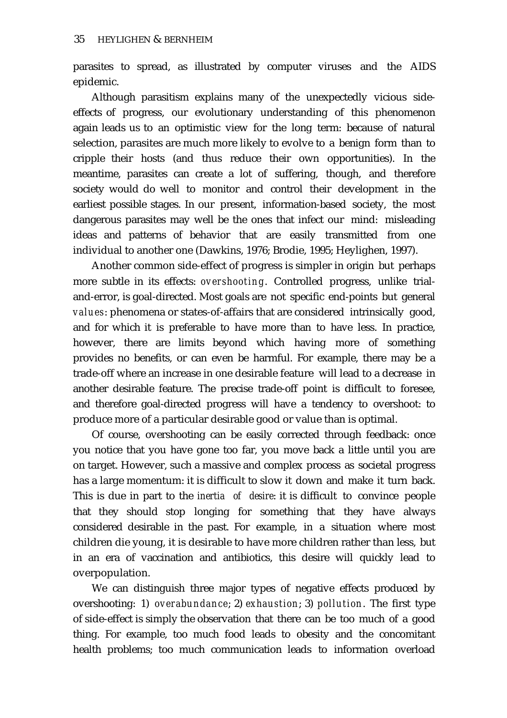parasites to spread, as illustrated by computer viruses and the AIDS epidemic.

Although parasitism explains many of the unexpectedly vicious sideeffects of progress, our evolutionary understanding of this phenomenon again leads us to an optimistic view for the long term: because of natural selection, parasites are much more likely to evolve to a benign form than to cripple their hosts (and thus reduce their own opportunities). In the meantime, parasites can create a lot of suffering, though, and therefore society would do well to monitor and control their development in the earliest possible stages. In our present, information-based society, the most dangerous parasites may well be the ones that infect our mind: misleading ideas and patterns of behavior that are easily transmitted from one individual to another one (Dawkins, 1976; Brodie, 1995; Heylighen, 1997).

Another common side-effect of progress is simpler in origin but perhaps more subtle in its effects: *overshooting*. Controlled progress, unlike trialand-error, is goal-directed. Most goals are not specific end-points but general *values*: phenomena or states-of-affairs that are considered intrinsically good, and for which it is preferable to have more than to have less. In practice, however, there are limits beyond which having more of something provides no benefits, or can even be harmful. For example, there may be a trade-off where an increase in one desirable feature will lead to a decrease in another desirable feature. The precise trade-off point is difficult to foresee, and therefore goal-directed progress will have a tendency to overshoot: to produce more of a particular desirable good or value than is optimal.

Of course, overshooting can be easily corrected through feedback: once you notice that you have gone too far, you move back a little until you are on target. However, such a massive and complex process as societal progress has a large momentum: it is difficult to slow it down and make it turn back. This is due in part to the *inertia of desire*: it is difficult to convince people that they should stop longing for something that they have always considered desirable in the past. For example, in a situation where most children die young, it is desirable to have more children rather than less, but in an era of vaccination and antibiotics, this desire will quickly lead to overpopulation.

We can distinguish three major types of negative effects produced by overshooting: 1) *overabundance*; 2) *exhaustion*; 3) *pollution*. The first type of side-effect is simply the observation that there can be too much of a good thing. For example, too much food leads to obesity and the concomitant health problems; too much communication leads to information overload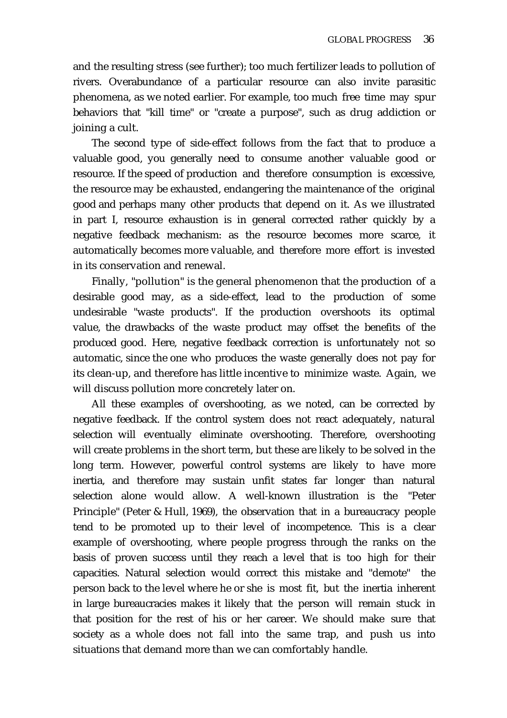and the resulting stress (see further); too much fertilizer leads to pollution of rivers. Overabundance of a particular resource can also invite parasitic phenomena, as we noted earlier. For example, too much free time may spur behaviors that "kill time" or "create a purpose", such as drug addiction or joining a cult.

The second type of side-effect follows from the fact that to produce a valuable good, you generally need to consume another valuable good or resource. If the speed of production and therefore consumption is excessive, the resource may be exhausted, endangering the maintenance of the original good and perhaps many other products that depend on it. As we illustrated in part I, resource exhaustion is in general corrected rather quickly by a negative feedback mechanism: as the resource becomes more scarce, it automatically becomes more valuable, and therefore more effort is invested in its conservation and renewal.

Finally, "pollution" is the general phenomenon that the production of a desirable good may, as a side-effect, lead to the production of some undesirable "waste products". If the production overshoots its optimal value, the drawbacks of the waste product may offset the benefits of the produced good. Here, negative feedback correction is unfortunately not so automatic, since the one who produces the waste generally does not pay for its clean-up, and therefore has little incentive to minimize waste. Again, we will discuss pollution more concretely later on.

All these examples of overshooting, as we noted, can be corrected by negative feedback. If the control system does not react adequately, natural selection will eventually eliminate overshooting. Therefore, overshooting will create problems in the short term, but these are likely to be solved in the long term. However, powerful control systems are likely to have more inertia, and therefore may sustain unfit states far longer than natural selection alone would allow. A well-known illustration is the "Peter Principle" (Peter & Hull, 1969), the observation that in a bureaucracy people tend to be promoted up to their level of incompetence. This is a clear example of overshooting, where people progress through the ranks on the basis of proven success until they reach a level that is too high for their capacities. Natural selection would correct this mistake and "demote" the person back to the level where he or she is most fit, but the inertia inherent in large bureaucracies makes it likely that the person will remain stuck in that position for the rest of his or her career. We should make sure that society as a whole does not fall into the same trap, and push us into situations that demand more than we can comfortably handle.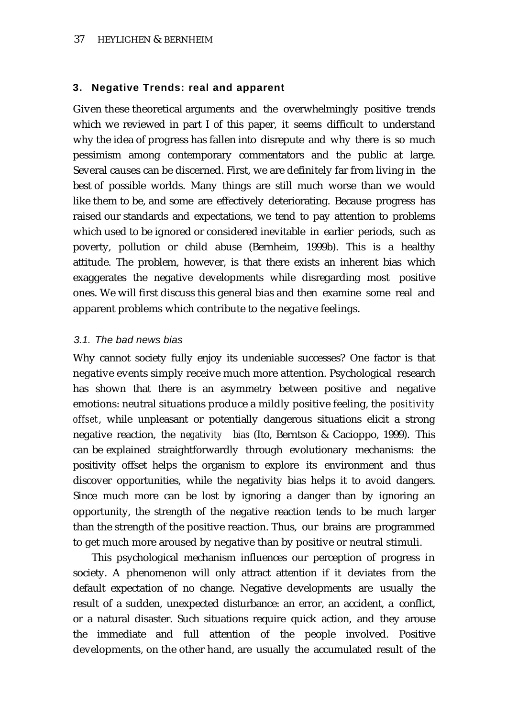#### **3. Negative Trends: real and apparent**

Given these theoretical arguments and the overwhelmingly positive trends which we reviewed in part I of this paper, it seems difficult to understand why the idea of progress has fallen into disrepute and why there is so much pessimism among contemporary commentators and the public at large. Several causes can be discerned. First, we are definitely far from living in the best of possible worlds. Many things are still much worse than we would like them to be, and some are effectively deteriorating. Because progress has raised our standards and expectations, we tend to pay attention to problems which used to be ignored or considered inevitable in earlier periods, such as poverty, pollution or child abuse (Bernheim, 1999b). This is a healthy attitude. The problem, however, is that there exists an inherent bias which exaggerates the negative developments while disregarding most positive ones. We will first discuss this general bias and then examine some real and apparent problems which contribute to the negative feelings.

#### *3.1. The bad news bias*

Why cannot society fully enjoy its undeniable successes? One factor is that negative events simply receive much more attention. Psychological research has shown that there is an asymmetry between positive and negative emotions: neutral situations produce a mildly positive feeling, the *positivity offset*, while unpleasant or potentially dangerous situations elicit a strong negative reaction, the *negativity bias* (Ito, Berntson & Cacioppo, 1999). This can be explained straightforwardly through evolutionary mechanisms: the positivity offset helps the organism to explore its environment and thus discover opportunities, while the negativity bias helps it to avoid dangers. Since much more can be lost by ignoring a danger than by ignoring an opportunity, the strength of the negative reaction tends to be much larger than the strength of the positive reaction. Thus, our brains are programmed to get much more aroused by negative than by positive or neutral stimuli.

This psychological mechanism influences our perception of progress in society. A phenomenon will only attract attention if it deviates from the default expectation of no change. Negative developments are usually the result of a sudden, unexpected disturbance: an error, an accident, a conflict, or a natural disaster. Such situations require quick action, and they arouse the immediate and full attention of the people involved. Positive developments, on the other hand, are usually the accumulated result of the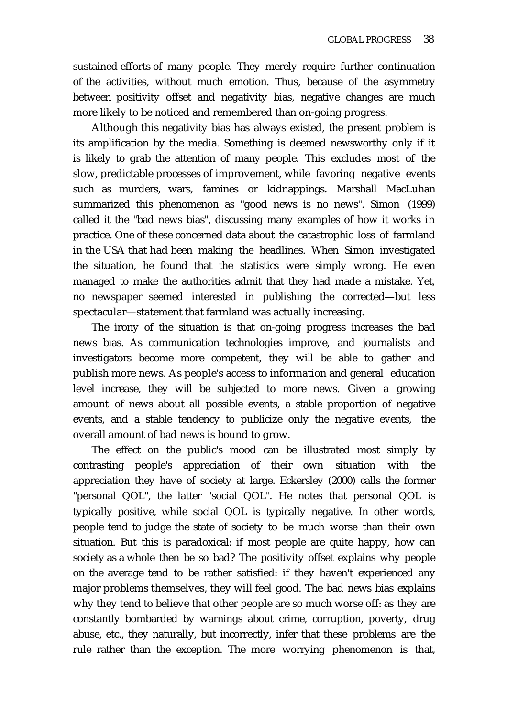sustained efforts of many people. They merely require further continuation of the activities, without much emotion. Thus, because of the asymmetry between positivity offset and negativity bias, negative changes are much more likely to be noticed and remembered than on-going progress.

Although this negativity bias has always existed, the present problem is its amplification by the media. Something is deemed newsworthy only if it is likely to grab the attention of many people. This excludes most of the slow, predictable processes of improvement, while favoring negative events such as murders, wars, famines or kidnappings. Marshall MacLuhan summarized this phenomenon as "good news is no news". Simon (1999) called it the "bad news bias", discussing many examples of how it works in practice. One of these concerned data about the catastrophic loss of farmland in the USA that had been making the headlines. When Simon investigated the situation, he found that the statistics were simply wrong. He even managed to make the authorities admit that they had made a mistake. Yet, no newspaper seemed interested in publishing the corrected—but less spectacular—statement that farmland was actually increasing.

The irony of the situation is that on-going progress increases the bad news bias. As communication technologies improve, and journalists and investigators become more competent, they will be able to gather and publish more news. As people's access to information and general education level increase, they will be subjected to more news. Given a growing amount of news about all possible events, a stable proportion of negative events, and a stable tendency to publicize only the negative events, the overall amount of bad news is bound to grow.

The effect on the public's mood can be illustrated most simply by contrasting people's appreciation of their own situation with the appreciation they have of society at large. Eckersley (2000) calls the former "personal QOL", the latter "social QOL". He notes that personal QOL is typically positive, while social QOL is typically negative. In other words, people tend to judge the state of society to be much worse than their own situation. But this is paradoxical: if most people are quite happy, how can society as a whole then be so bad? The positivity offset explains why people on the average tend to be rather satisfied: if they haven't experienced any major problems themselves, they will feel good. The bad news bias explains why they tend to believe that other people are so much worse off: as they are constantly bombarded by warnings about crime, corruption, poverty, drug abuse, etc., they naturally, but incorrectly, infer that these problems are the rule rather than the exception. The more worrying phenomenon is that,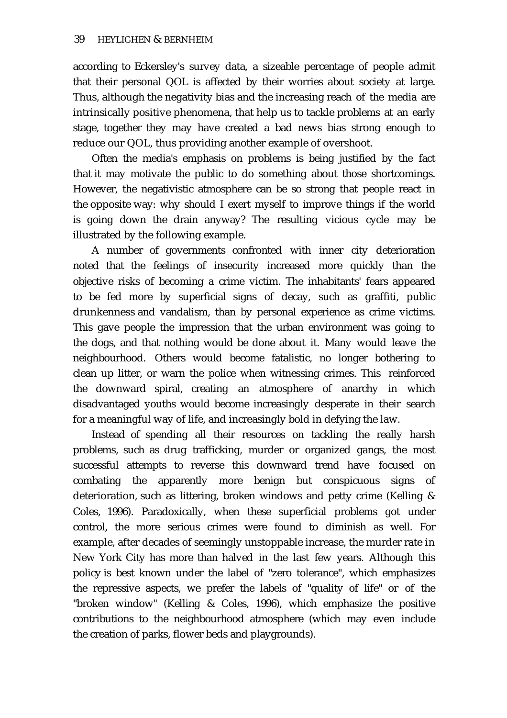according to Eckersley's survey data, a sizeable percentage of people admit that their personal QOL is affected by their worries about society at large. Thus, although the negativity bias and the increasing reach of the media are intrinsically positive phenomena, that help us to tackle problems at an early stage, together they may have created a bad news bias strong enough to reduce our QOL, thus providing another example of overshoot.

Often the media's emphasis on problems is being justified by the fact that it may motivate the public to do something about those shortcomings. However, the negativistic atmosphere can be so strong that people react in the opposite way: why should I exert myself to improve things if the world is going down the drain anyway? The resulting vicious cycle may be illustrated by the following example.

A number of governments confronted with inner city deterioration noted that the feelings of insecurity increased more quickly than the objective risks of becoming a crime victim. The inhabitants' fears appeared to be fed more by superficial signs of decay, such as graffiti, public drunkenness and vandalism, than by personal experience as crime victims. This gave people the impression that the urban environment was going to the dogs, and that nothing would be done about it. Many would leave the neighbourhood. Others would become fatalistic, no longer bothering to clean up litter, or warn the police when witnessing crimes. This reinforced the downward spiral, creating an atmosphere of anarchy in which disadvantaged youths would become increasingly desperate in their search for a meaningful way of life, and increasingly bold in defying the law.

Instead of spending all their resources on tackling the really harsh problems, such as drug trafficking, murder or organized gangs, the most successful attempts to reverse this downward trend have focused on combating the apparently more benign but conspicuous signs of deterioration, such as littering, broken windows and petty crime (Kelling & Coles, 1996). Paradoxically, when these superficial problems got under control, the more serious crimes were found to diminish as well. For example, after decades of seemingly unstoppable increase, the murder rate in New York City has more than halved in the last few years. Although this policy is best known under the label of "zero tolerance", which emphasizes the repressive aspects, we prefer the labels of "quality of life" or of the "broken window" (Kelling & Coles, 1996), which emphasize the positive contributions to the neighbourhood atmosphere (which may even include the creation of parks, flower beds and playgrounds).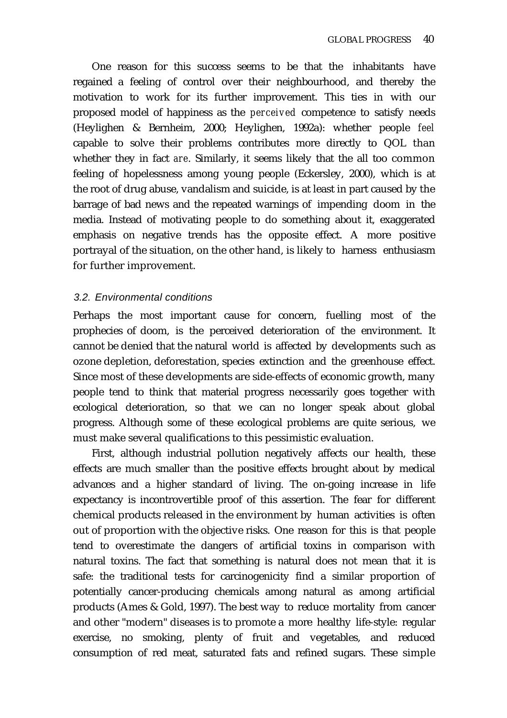One reason for this success seems to be that the inhabitants have regained a feeling of control over their neighbourhood, and thereby the motivation to work for its further improvement. This ties in with our proposed model of happiness as the *perceived* competence to satisfy needs (Heylighen & Bernheim, 2000; Heylighen, 1992a): whether people *feel* capable to solve their problems contributes more directly to QOL than whether they in fact *are*. Similarly, it seems likely that the all too common feeling of hopelessness among young people (Eckersley, 2000), which is at the root of drug abuse, vandalism and suicide, is at least in part caused by the barrage of bad news and the repeated warnings of impending doom in the media. Instead of motivating people to do something about it, exaggerated emphasis on negative trends has the opposite effect. A more positive portrayal of the situation, on the other hand, is likely to harness enthusiasm for further improvement.

#### *3.2. Environmental conditions*

Perhaps the most important cause for concern, fuelling most of the prophecies of doom, is the perceived deterioration of the environment. It cannot be denied that the natural world is affected by developments such as ozone depletion, deforestation, species extinction and the greenhouse effect. Since most of these developments are side-effects of economic growth, many people tend to think that material progress necessarily goes together with ecological deterioration, so that we can no longer speak about global progress. Although some of these ecological problems are quite serious, we must make several qualifications to this pessimistic evaluation.

First, although industrial pollution negatively affects our health, these effects are much smaller than the positive effects brought about by medical advances and a higher standard of living. The on-going increase in life expectancy is incontrovertible proof of this assertion. The fear for different chemical products released in the environment by human activities is often out of proportion with the objective risks. One reason for this is that people tend to overestimate the dangers of artificial toxins in comparison with natural toxins. The fact that something is natural does not mean that it is safe: the traditional tests for carcinogenicity find a similar proportion of potentially cancer-producing chemicals among natural as among artificial products (Ames & Gold, 1997). The best way to reduce mortality from cancer and other "modern" diseases is to promote a more healthy life-style: regular exercise, no smoking, plenty of fruit and vegetables, and reduced consumption of red meat, saturated fats and refined sugars. These simple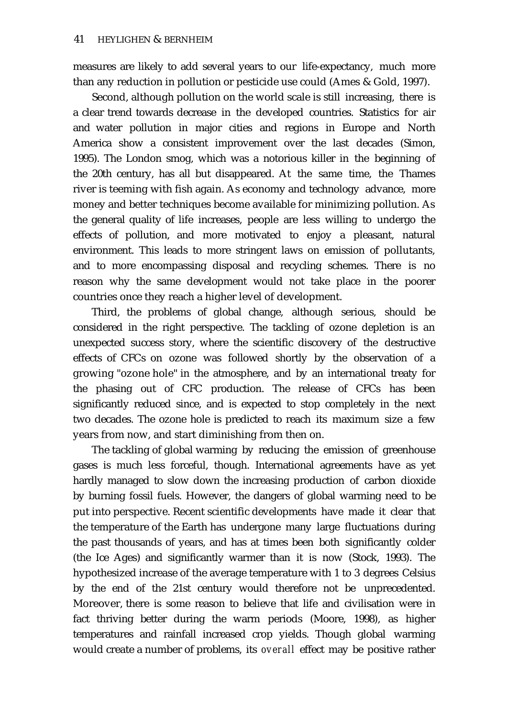measures are likely to add several years to our life-expectancy, much more than any reduction in pollution or pesticide use could (Ames & Gold, 1997).

Second, although pollution on the world scale is still increasing, there is a clear trend towards decrease in the developed countries. Statistics for air and water pollution in major cities and regions in Europe and North America show a consistent improvement over the last decades (Simon, 1995). The London smog, which was a notorious killer in the beginning of the 20th century, has all but disappeared. At the same time, the Thames river is teeming with fish again. As economy and technology advance, more money and better techniques become available for minimizing pollution. As the general quality of life increases, people are less willing to undergo the effects of pollution, and more motivated to enjoy a pleasant, natural environment. This leads to more stringent laws on emission of pollutants, and to more encompassing disposal and recycling schemes. There is no reason why the same development would not take place in the poorer countries once they reach a higher level of development.

Third, the problems of global change, although serious, should be considered in the right perspective. The tackling of ozone depletion is an unexpected success story, where the scientific discovery of the destructive effects of CFCs on ozone was followed shortly by the observation of a growing "ozone hole" in the atmosphere, and by an international treaty for the phasing out of CFC production. The release of CFCs has been significantly reduced since, and is expected to stop completely in the next two decades. The ozone hole is predicted to reach its maximum size a few years from now, and start diminishing from then on.

The tackling of global warming by reducing the emission of greenhouse gases is much less forceful, though. International agreements have as yet hardly managed to slow down the increasing production of carbon dioxide by burning fossil fuels. However, the dangers of global warming need to be put into perspective. Recent scientific developments have made it clear that the temperature of the Earth has undergone many large fluctuations during the past thousands of years, and has at times been both significantly colder (the Ice Ages) and significantly warmer than it is now (Stock, 1993). The hypothesized increase of the average temperature with 1 to 3 degrees Celsius by the end of the 21st century would therefore not be unprecedented. Moreover, there is some reason to believe that life and civilisation were in fact thriving better during the warm periods (Moore, 1998), as higher temperatures and rainfall increased crop yields. Though global warming would create a number of problems, its *overall* effect may be positive rather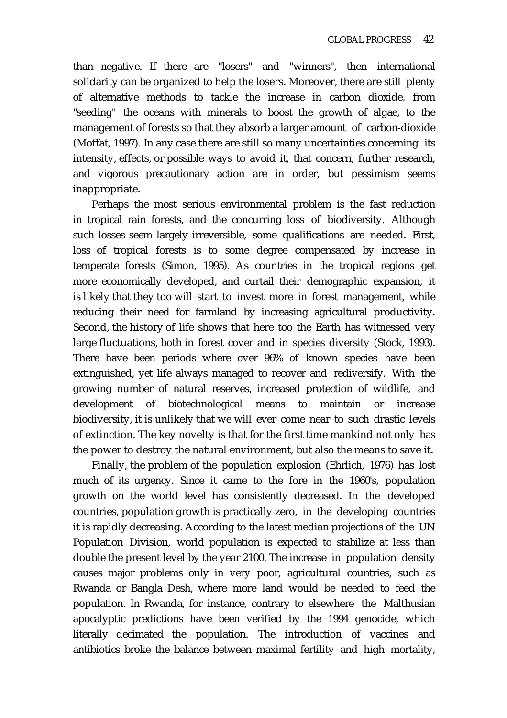than negative. If there are "losers" and "winners", then international solidarity can be organized to help the losers. Moreover, there are still plenty of alternative methods to tackle the increase in carbon dioxide, from "seeding" the oceans with minerals to boost the growth of algae, to the management of forests so that they absorb a larger amount of carbon-dioxide (Moffat, 1997). In any case there are still so many uncertainties concerning its intensity, effects, or possible ways to avoid it, that concern, further research, and vigorous precautionary action are in order, but pessimism seems inappropriate.

Perhaps the most serious environmental problem is the fast reduction in tropical rain forests, and the concurring loss of biodiversity. Although such losses seem largely irreversible, some qualifications are needed. First, loss of tropical forests is to some degree compensated by increase in temperate forests (Simon, 1995). As countries in the tropical regions get more economically developed, and curtail their demographic expansion, it is likely that they too will start to invest more in forest management, while reducing their need for farmland by increasing agricultural productivity. Second, the history of life shows that here too the Earth has witnessed very large fluctuations, both in forest cover and in species diversity (Stock, 1993). There have been periods where over 96% of known species have been extinguished, yet life always managed to recover and rediversify. With the growing number of natural reserves, increased protection of wildlife, and development of biotechnological means to maintain or increase biodiversity, it is unlikely that we will ever come near to such drastic levels of extinction. The key novelty is that for the first time mankind not only has the power to destroy the natural environment, but also the means to save it.

Finally, the problem of the population explosion (Ehrlich, 1976) has lost much of its urgency. Since it came to the fore in the 1960's, population growth on the world level has consistently decreased. In the developed countries, population growth is practically zero, in the developing countries it is rapidly decreasing. According to the latest median projections of the UN Population Division, world population is expected to stabilize at less than double the present level by the year 2100. The increase in population density causes major problems only in very poor, agricultural countries, such as Rwanda or Bangla Desh, where more land would be needed to feed the population. In Rwanda, for instance, contrary to elsewhere the Malthusian apocalyptic predictions have been verified by the 1994 genocide, which literally decimated the population. The introduction of vaccines and antibiotics broke the balance between maximal fertility and high mortality,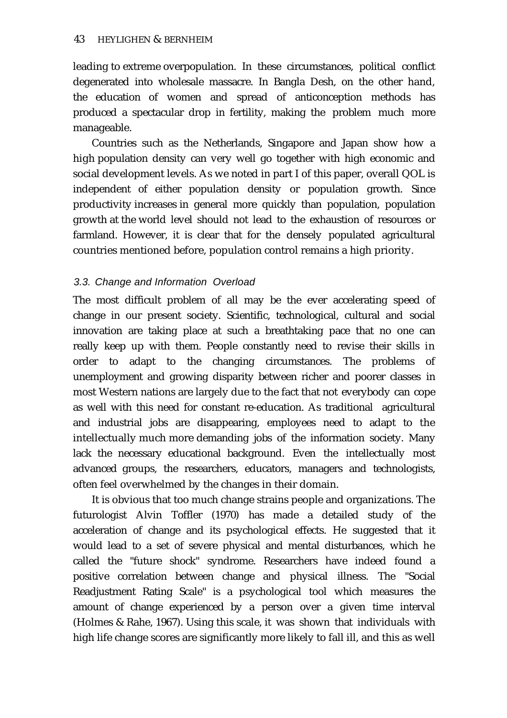leading to extreme overpopulation. In these circumstances, political conflict degenerated into wholesale massacre. In Bangla Desh, on the other hand, the education of women and spread of anticonception methods has produced a spectacular drop in fertility, making the problem much more manageable.

Countries such as the Netherlands, Singapore and Japan show how a high population density can very well go together with high economic and social development levels. As we noted in part I of this paper, overall QOL is independent of either population density or population growth. Since productivity increases in general more quickly than population, population growth at the world level should not lead to the exhaustion of resources or farmland. However, it is clear that for the densely populated agricultural countries mentioned before, population control remains a high priority.

# *3.3. Change and Information Overload*

The most difficult problem of all may be the ever accelerating speed of change in our present society. Scientific, technological, cultural and social innovation are taking place at such a breathtaking pace that no one can really keep up with them. People constantly need to revise their skills in order to adapt to the changing circumstances. The problems of unemployment and growing disparity between richer and poorer classes in most Western nations are largely due to the fact that not everybody can cope as well with this need for constant re-education. As traditional agricultural and industrial jobs are disappearing, employees need to adapt to the intellectually much more demanding jobs of the information society. Many lack the necessary educational background. Even the intellectually most advanced groups, the researchers, educators, managers and technologists, often feel overwhelmed by the changes in their domain.

It is obvious that too much change strains people and organizations. The futurologist Alvin Toffler (1970) has made a detailed study of the acceleration of change and its psychological effects. He suggested that it would lead to a set of severe physical and mental disturbances, which he called the "future shock" syndrome. Researchers have indeed found a positive correlation between change and physical illness. The "Social Readjustment Rating Scale" is a psychological tool which measures the amount of change experienced by a person over a given time interval (Holmes & Rahe, 1967). Using this scale, it was shown that individuals with high life change scores are significantly more likely to fall ill, and this as well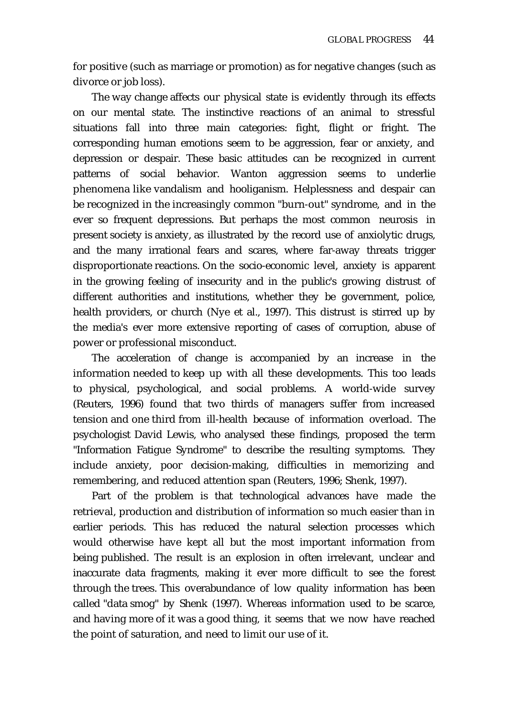for positive (such as marriage or promotion) as for negative changes (such as divorce or job loss).

The way change affects our physical state is evidently through its effects on our mental state. The instinctive reactions of an animal to stressful situations fall into three main categories: fight, flight or fright. The corresponding human emotions seem to be aggression, fear or anxiety, and depression or despair. These basic attitudes can be recognized in current patterns of social behavior. Wanton aggression seems to underlie phenomena like vandalism and hooliganism. Helplessness and despair can be recognized in the increasingly common "burn-out" syndrome, and in the ever so frequent depressions. But perhaps the most common neurosis in present society is anxiety, as illustrated by the record use of anxiolytic drugs, and the many irrational fears and scares, where far-away threats trigger disproportionate reactions. On the socio-economic level, anxiety is apparent in the growing feeling of insecurity and in the public's growing distrust of different authorities and institutions, whether they be government, police, health providers, or church (Nye et al., 1997). This distrust is stirred up by the media's ever more extensive reporting of cases of corruption, abuse of power or professional misconduct.

The acceleration of change is accompanied by an increase in the information needed to keep up with all these developments. This too leads to physical, psychological, and social problems. A world-wide survey (Reuters, 1996) found that two thirds of managers suffer from increased tension and one third from ill-health because of information overload. The psychologist David Lewis, who analysed these findings, proposed the term "Information Fatigue Syndrome" to describe the resulting symptoms. They include anxiety, poor decision-making, difficulties in memorizing and remembering, and reduced attention span (Reuters, 1996; Shenk, 1997).

Part of the problem is that technological advances have made the retrieval, production and distribution of information so much easier than in earlier periods. This has reduced the natural selection processes which would otherwise have kept all but the most important information from being published. The result is an explosion in often irrelevant, unclear and inaccurate data fragments, making it ever more difficult to see the forest through the trees. This overabundance of low quality information has been called "data smog" by Shenk (1997). Whereas information used to be scarce, and having more of it was a good thing, it seems that we now have reached the point of saturation, and need to limit our use of it.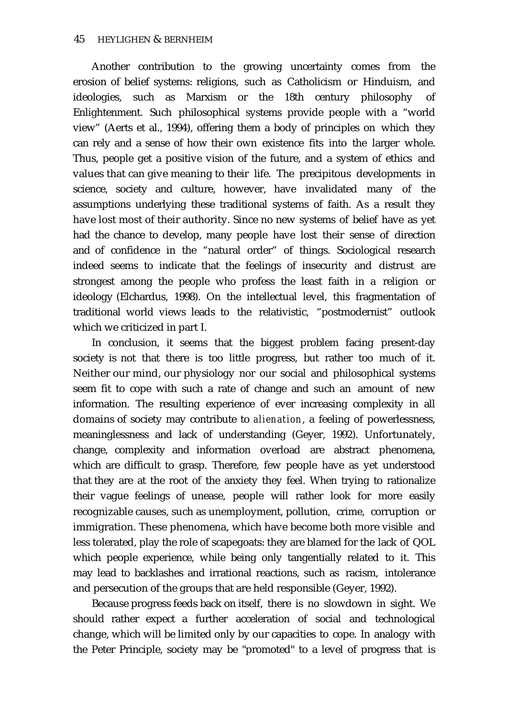Another contribution to the growing uncertainty comes from the erosion of belief systems: religions, such as Catholicism or Hinduism, and ideologies, such as Marxism or the 18th century philosophy of Enlightenment. Such philosophical systems provide people with a "world view" (Aerts et al., 1994), offering them a body of principles on which they can rely and a sense of how their own existence fits into the larger whole. Thus, people get a positive vision of the future, and a system of ethics and values that can give meaning to their life. The precipitous developments in science, society and culture, however, have invalidated many of the assumptions underlying these traditional systems of faith. As a result they have lost most of their authority. Since no new systems of belief have as yet had the chance to develop, many people have lost their sense of direction and of confidence in the "natural order" of things. Sociological research indeed seems to indicate that the feelings of insecurity and distrust are strongest among the people who profess the least faith in a religion or ideology (Elchardus, 1998). On the intellectual level, this fragmentation of traditional world views leads to the relativistic, "postmodernist" outlook which we criticized in part I.

In conclusion, it seems that the biggest problem facing present-day society is not that there is too little progress, but rather too much of it. Neither our mind, our physiology nor our social and philosophical systems seem fit to cope with such a rate of change and such an amount of new information. The resulting experience of ever increasing complexity in all domains of society may contribute to *alienation*, a feeling of powerlessness, meaninglessness and lack of understanding (Geyer, 1992). Unfortunately, change, complexity and information overload are abstract phenomena, which are difficult to grasp. Therefore, few people have as yet understood that they are at the root of the anxiety they feel. When trying to rationalize their vague feelings of unease, people will rather look for more easily recognizable causes, such as unemployment, pollution, crime, corruption or immigration. These phenomena, which have become both more visible and less tolerated, play the role of scapegoats: they are blamed for the lack of QOL which people experience, while being only tangentially related to it. This may lead to backlashes and irrational reactions, such as racism, intolerance and persecution of the groups that are held responsible (Geyer, 1992).

Because progress feeds back on itself, there is no slowdown in sight. We should rather expect a further acceleration of social and technological change, which will be limited only by our capacities to cope. In analogy with the Peter Principle, society may be "promoted" to a level of progress that is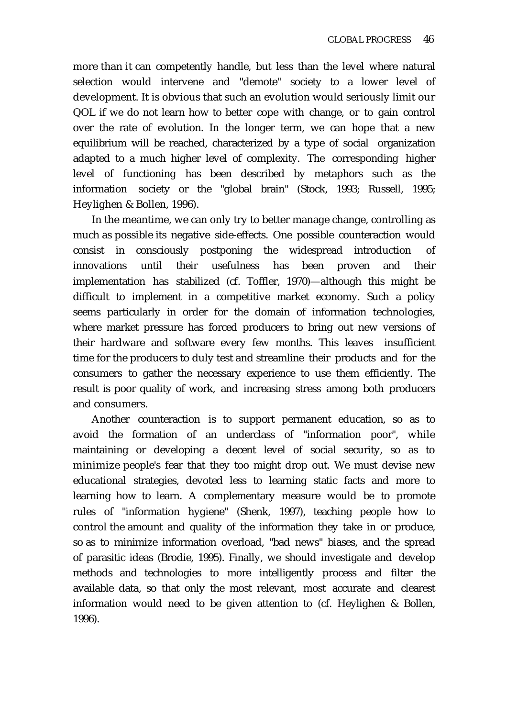more than it can competently handle, but less than the level where natural selection would intervene and "demote" society to a lower level of development. It is obvious that such an evolution would seriously limit our QOL if we do not learn how to better cope with change, or to gain control over the rate of evolution. In the longer term, we can hope that a new equilibrium will be reached, characterized by a type of social organization adapted to a much higher level of complexity. The corresponding higher level of functioning has been described by metaphors such as the information society or the "global brain" (Stock, 1993; Russell, 1995; Heylighen & Bollen, 1996).

In the meantime, we can only try to better manage change, controlling as much as possible its negative side-effects. One possible counteraction would consist in consciously postponing the widespread introduction of innovations until their usefulness has been proven and their implementation has stabilized (cf. Toffler, 1970)—although this might be difficult to implement in a competitive market economy. Such a policy seems particularly in order for the domain of information technologies, where market pressure has forced producers to bring out new versions of their hardware and software every few months. This leaves insufficient time for the producers to duly test and streamline their products and for the consumers to gather the necessary experience to use them efficiently. The result is poor quality of work, and increasing stress among both producers and consumers.

Another counteraction is to support permanent education, so as to avoid the formation of an underclass of "information poor", while maintaining or developing a decent level of social security, so as to minimize people's fear that they too might drop out. We must devise new educational strategies, devoted less to learning static facts and more to learning how to learn. A complementary measure would be to promote rules of "information hygiene" (Shenk, 1997), teaching people how to control the amount and quality of the information they take in or produce, so as to minimize information overload, "bad news" biases, and the spread of parasitic ideas (Brodie, 1995). Finally, we should investigate and develop methods and technologies to more intelligently process and filter the available data, so that only the most relevant, most accurate and clearest information would need to be given attention to (cf. Heylighen & Bollen, 1996).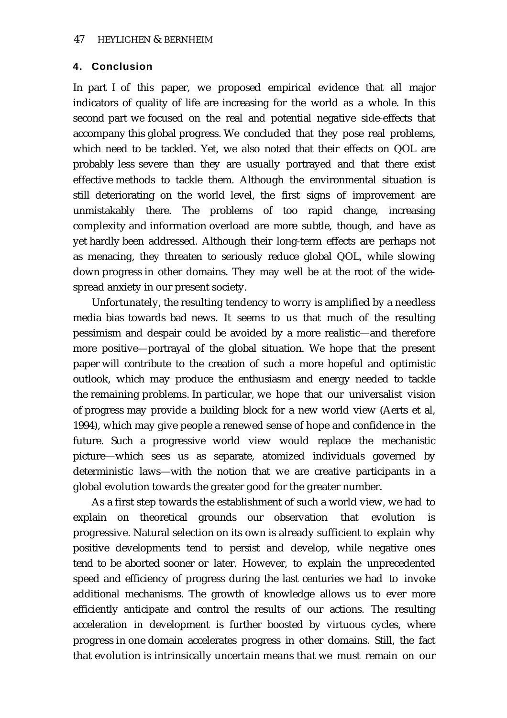#### **4. Conclusion**

In part I of this paper, we proposed empirical evidence that all major indicators of quality of life are increasing for the world as a whole. In this second part we focused on the real and potential negative side-effects that accompany this global progress. We concluded that they pose real problems, which need to be tackled. Yet, we also noted that their effects on QOL are probably less severe than they are usually portrayed and that there exist effective methods to tackle them. Although the environmental situation is still deteriorating on the world level, the first signs of improvement are unmistakably there. The problems of too rapid change, increasing complexity and information overload are more subtle, though, and have as yet hardly been addressed. Although their long-term effects are perhaps not as menacing, they threaten to seriously reduce global QOL, while slowing down progress in other domains. They may well be at the root of the widespread anxiety in our present society.

Unfortunately, the resulting tendency to worry is amplified by a needless media bias towards bad news. It seems to us that much of the resulting pessimism and despair could be avoided by a more realistic—and therefore more positive—portrayal of the global situation. We hope that the present paper will contribute to the creation of such a more hopeful and optimistic outlook, which may produce the enthusiasm and energy needed to tackle the remaining problems. In particular, we hope that our universalist vision of progress may provide a building block for a new world view (Aerts et al, 1994), which may give people a renewed sense of hope and confidence in the future. Such a progressive world view would replace the mechanistic picture—which sees us as separate, atomized individuals governed by deterministic laws—with the notion that we are creative participants in a global evolution towards the greater good for the greater number.

As a first step towards the establishment of such a world view, we had to explain on theoretical grounds our observation that evolution is progressive. Natural selection on its own is already sufficient to explain why positive developments tend to persist and develop, while negative ones tend to be aborted sooner or later. However, to explain the unprecedented speed and efficiency of progress during the last centuries we had to invoke additional mechanisms. The growth of knowledge allows us to ever more efficiently anticipate and control the results of our actions. The resulting acceleration in development is further boosted by virtuous cycles, where progress in one domain accelerates progress in other domains. Still, the fact that evolution is intrinsically uncertain means that we must remain on our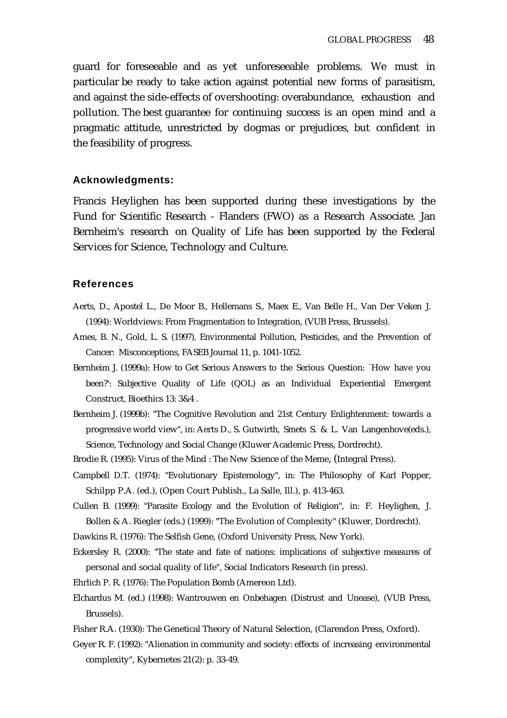guard for foreseeable and as yet unforeseeable problems. We must in particular be ready to take action against potential new forms of parasitism, and against the side-effects of overshooting: overabundance, exhaustion and pollution. The best guarantee for continuing success is an open mind and a pragmatic attitude, unrestricted by dogmas or prejudices, but confident in the feasibility of progress.

#### **Acknowledgments:**

Francis Heylighen has been supported during these investigations by the Fund for Scientific Research - Flanders (FWO) as a Research Associate. Jan Bernheim's research on Quality of Life has been supported by the Federal Services for Science, Technology and Culture.

#### **References**

- Aerts, D., Apostel L., De Moor B., Hellemans S., Maex E., Van Belle H., Van Der Veken J. (1994): Worldviews: From Fragmentation to Integration, (VUB Press, Brussels).
- Ames, B. N., Gold, L. S. (1997), Environmental Pollution, Pesticides, and the Prevention of Cancer: Misconceptions, FASEB Journal 11, p. 1041-1052.
- Bernheim J. (1999a): How to Get Serious Answers to the Serious Question: `How have you been?': Subjective Quality of Life (QOL) as an Individual Experiential Emergent Construct, Bioethics 13: 3&4 .
- Bernheim J. (1999b): "The Cognitive Revolution and 21st Century Enlightenment: towards a progressive world view", in: Aerts D., S. Gutwirth, Smets S. & L. Van Langenhove(eds.), Science, Technology and Social Change (Kluwer Academic Press, Dordrecht).
- Brodie R. (1995): Virus of the Mind : The New Science of the Meme, (Integral Press).
- Campbell D.T. (1974): "Evolutionary Epistemology", in: The Philosophy of Karl Popper, Schilpp P.A. (ed.), (Open Court Publish., La Salle, Ill.), p. 413-463.
- Cullen B. (1999): "Parasite Ecology and the Evolution of Religion", in: F. Heylighen, J. Bollen & A. Riegler (eds.) (1999): "The Evolution of Complexity" (Kluwer, Dordrecht).
- Dawkins R. (1976): The Selfish Gene, (Oxford University Press, New York).
- Eckersley R. (2000): "The state and fate of nations: implications of subjective measures of personal and social quality of life", Social Indicators Research (in press).
- Ehrlich P. R. (1976): The Population Bomb (Amereon Ltd).
- Elchardus M. (ed.) (1998): Wantrouwen en Onbehagen (Distrust and Unease), (VUB Press, Brussels).
- Fisher R.A. (1930): The Genetical Theory of Natural Selection, (Clarendon Press, Oxford).
- Geyer R. F. (1992): "Alienation in community and society: effects of increasing environmental complexity", Kybernetes 21(2): p. 33-49.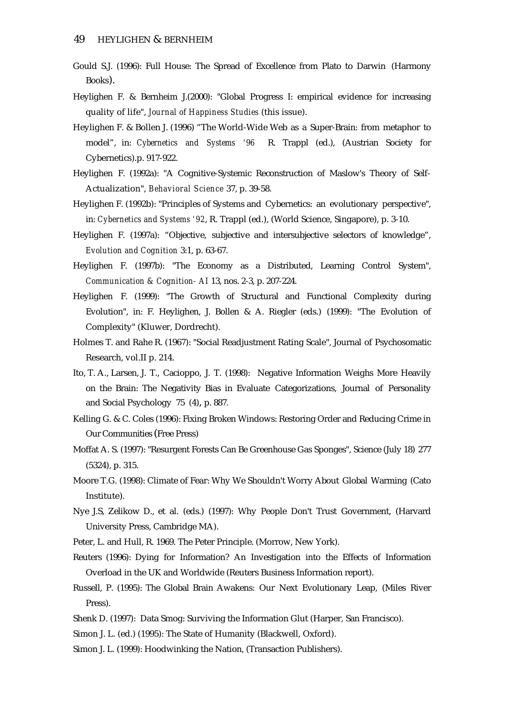- Gould S.J. (1996): Full House: The Spread of Excellence from Plato to Darwin (Harmony Books).
- Heylighen F. & Bernheim J.(2000): "Global Progress I: empirical evidence for increasing quality of life", *Journal of Happiness Studies* (this issue).
- Heylighen F. & Bollen J. (1996) "The World-Wide Web as a Super-Brain: from metaphor to model", in: *Cybernetics and Systems '96* R. Trappl (ed.), (Austrian Society for Cybernetics).p. 917-922.
- Heylighen F. (1992a): "A Cognitive-Systemic Reconstruction of Maslow's Theory of Self-Actualization", *Behavioral Science* 37, p. 39-58.
- Heylighen F. (1992b): "Principles of Systems and Cybernetics: an evolutionary perspective", in: *Cybernetics and Systems '92*, R. Trappl (ed.), (World Science, Singapore), p. 3-10.
- Heylighen F. (1997a): "Objective, subjective and intersubjective selectors of knowledge", *Evolution and Cognition* 3:1, p. 63-67.
- Heylighen F. (1997b): "The Economy as a Distributed, Learning Control System", *Communication & Cognition- AI* 13, nos. 2-3, p. 207-224.
- Heylighen F. (1999): "The Growth of Structural and Functional Complexity during Evolution", in: F. Heylighen, J. Bollen & A. Riegler (eds.) (1999): "The Evolution of Complexity" (Kluwer, Dordrecht).
- Holmes T. and Rahe R. (1967): "Social Readjustment Rating Scale", Journal of Psychosomatic Research, vol.II p. 214.
- Ito, T. A., Larsen, J. T., Cacioppo, J. T. (1998): Negative Information Weighs More Heavily on the Brain: The Negativity Bias in Evaluate Categorizations, Journal of Personality and Social Psychology 75 (4), p. 887.
- Kelling G. & C. Coles (1996): Fixing Broken Windows: Restoring Order and Reducing Crime in Our Communities (Free Press)
- Moffat A. S. (1997): "Resurgent Forests Can Be Greenhouse Gas Sponges", Science (July 18) 277 (5324), p. 315.
- Moore T.G. (1998): Climate of Fear: Why We Shouldn't Worry About Global Warming (Cato Institute).
- Nye J.S, Zelikow D., et al. (eds.) (1997): Why People Don't Trust Government, (Harvard University Press, Cambridge MA).
- Peter, L. and Hull, R. 1969. The Peter Principle. (Morrow, New York).
- Reuters (1996): Dying for Information? An Investigation into the Effects of Information Overload in the UK and Worldwide (Reuters Business Information report).
- Russell, P. (1995): The Global Brain Awakens: Our Next Evolutionary Leap, (Miles River Press).
- Shenk D. (1997): Data Smog: Surviving the Information Glut (Harper, San Francisco).
- Simon J. L. (ed.) (1995): The State of Humanity (Blackwell, Oxford).
- Simon J. L. (1999): Hoodwinking the Nation, (Transaction Publishers).